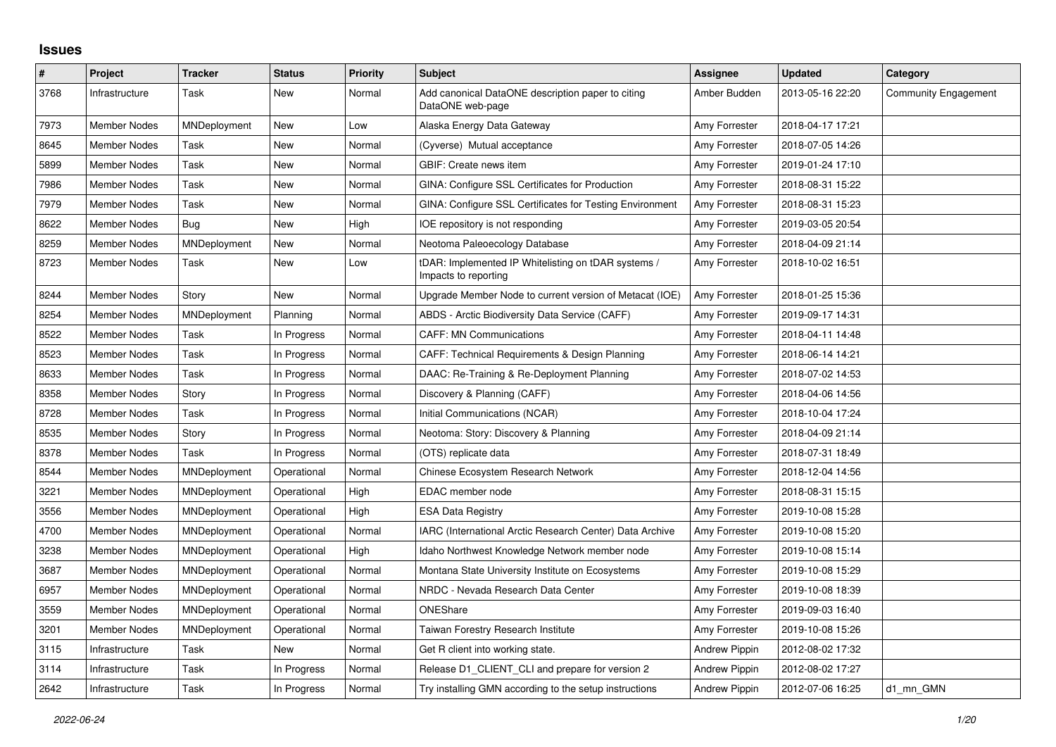## **Issues**

| #    | Project             | <b>Tracker</b> | <b>Status</b> | <b>Priority</b> | <b>Subject</b>                                                              | <b>Assignee</b>      | <b>Updated</b>   | Category                    |
|------|---------------------|----------------|---------------|-----------------|-----------------------------------------------------------------------------|----------------------|------------------|-----------------------------|
| 3768 | Infrastructure      | Task           | New           | Normal          | Add canonical DataONE description paper to citing<br>DataONE web-page       | Amber Budden         | 2013-05-16 22:20 | <b>Community Engagement</b> |
| 7973 | <b>Member Nodes</b> | MNDeployment   | New           | Low             | Alaska Energy Data Gateway                                                  | Amy Forrester        | 2018-04-17 17:21 |                             |
| 8645 | <b>Member Nodes</b> | Task           | New           | Normal          | (Cyverse) Mutual acceptance                                                 | Amy Forrester        | 2018-07-05 14:26 |                             |
| 5899 | Member Nodes        | Task           | New           | Normal          | GBIF: Create news item                                                      | Amy Forrester        | 2019-01-24 17:10 |                             |
| 7986 | Member Nodes        | Task           | New           | Normal          | GINA: Configure SSL Certificates for Production                             | Amy Forrester        | 2018-08-31 15:22 |                             |
| 7979 | <b>Member Nodes</b> | Task           | <b>New</b>    | Normal          | <b>GINA: Configure SSL Certificates for Testing Environment</b>             | Amy Forrester        | 2018-08-31 15:23 |                             |
| 8622 | Member Nodes        | Bug            | New           | High            | IOE repository is not responding                                            | Amy Forrester        | 2019-03-05 20:54 |                             |
| 8259 | <b>Member Nodes</b> | MNDeployment   | New           | Normal          | Neotoma Paleoecology Database                                               | Amy Forrester        | 2018-04-09 21:14 |                             |
| 8723 | Member Nodes        | Task           | New           | Low             | tDAR: Implemented IP Whitelisting on tDAR systems /<br>Impacts to reporting | Amy Forrester        | 2018-10-02 16:51 |                             |
| 8244 | <b>Member Nodes</b> | Story          | New           | Normal          | Upgrade Member Node to current version of Metacat (IOE)                     | Amy Forrester        | 2018-01-25 15:36 |                             |
| 8254 | <b>Member Nodes</b> | MNDeployment   | Planning      | Normal          | ABDS - Arctic Biodiversity Data Service (CAFF)                              | Amy Forrester        | 2019-09-17 14:31 |                             |
| 8522 | Member Nodes        | Task           | In Progress   | Normal          | <b>CAFF: MN Communications</b>                                              | Amy Forrester        | 2018-04-11 14:48 |                             |
| 8523 | Member Nodes        | Task           | In Progress   | Normal          | CAFF: Technical Requirements & Design Planning                              | Amy Forrester        | 2018-06-14 14:21 |                             |
| 8633 | <b>Member Nodes</b> | Task           | In Progress   | Normal          | DAAC: Re-Training & Re-Deployment Planning                                  | Amy Forrester        | 2018-07-02 14:53 |                             |
| 8358 | <b>Member Nodes</b> | Story          | In Progress   | Normal          | Discovery & Planning (CAFF)                                                 | Amy Forrester        | 2018-04-06 14:56 |                             |
| 8728 | Member Nodes        | Task           | In Progress   | Normal          | Initial Communications (NCAR)                                               | Amy Forrester        | 2018-10-04 17:24 |                             |
| 8535 | <b>Member Nodes</b> | Story          | In Progress   | Normal          | Neotoma: Story: Discovery & Planning                                        | Amy Forrester        | 2018-04-09 21:14 |                             |
| 8378 | Member Nodes        | Task           | In Progress   | Normal          | (OTS) replicate data                                                        | Amy Forrester        | 2018-07-31 18:49 |                             |
| 8544 | Member Nodes        | MNDeployment   | Operational   | Normal          | Chinese Ecosystem Research Network                                          | Amy Forrester        | 2018-12-04 14:56 |                             |
| 3221 | Member Nodes        | MNDeployment   | Operational   | High            | EDAC member node                                                            | Amy Forrester        | 2018-08-31 15:15 |                             |
| 3556 | <b>Member Nodes</b> | MNDeployment   | Operational   | High            | <b>ESA Data Registry</b>                                                    | Amy Forrester        | 2019-10-08 15:28 |                             |
| 4700 | <b>Member Nodes</b> | MNDeployment   | Operational   | Normal          | IARC (International Arctic Research Center) Data Archive                    | Amy Forrester        | 2019-10-08 15:20 |                             |
| 3238 | <b>Member Nodes</b> | MNDeployment   | Operational   | High            | Idaho Northwest Knowledge Network member node                               | Amy Forrester        | 2019-10-08 15:14 |                             |
| 3687 | Member Nodes        | MNDeployment   | Operational   | Normal          | Montana State University Institute on Ecosystems                            | Amy Forrester        | 2019-10-08 15:29 |                             |
| 6957 | <b>Member Nodes</b> | MNDeployment   | Operational   | Normal          | NRDC - Nevada Research Data Center                                          | Amy Forrester        | 2019-10-08 18:39 |                             |
| 3559 | <b>Member Nodes</b> | MNDeployment   | Operational   | Normal          | ONEShare                                                                    | Amy Forrester        | 2019-09-03 16:40 |                             |
| 3201 | Member Nodes        | MNDeployment   | Operational   | Normal          | Taiwan Forestry Research Institute                                          | Amy Forrester        | 2019-10-08 15:26 |                             |
| 3115 | Infrastructure      | Task           | New           | Normal          | Get R client into working state.                                            | <b>Andrew Pippin</b> | 2012-08-02 17:32 |                             |
| 3114 | Infrastructure      | Task           | In Progress   | Normal          | Release D1_CLIENT_CLI and prepare for version 2                             | <b>Andrew Pippin</b> | 2012-08-02 17:27 |                             |
| 2642 | Infrastructure      | Task           | In Progress   | Normal          | Try installing GMN according to the setup instructions                      | Andrew Pippin        | 2012-07-06 16:25 | d1 mn GMN                   |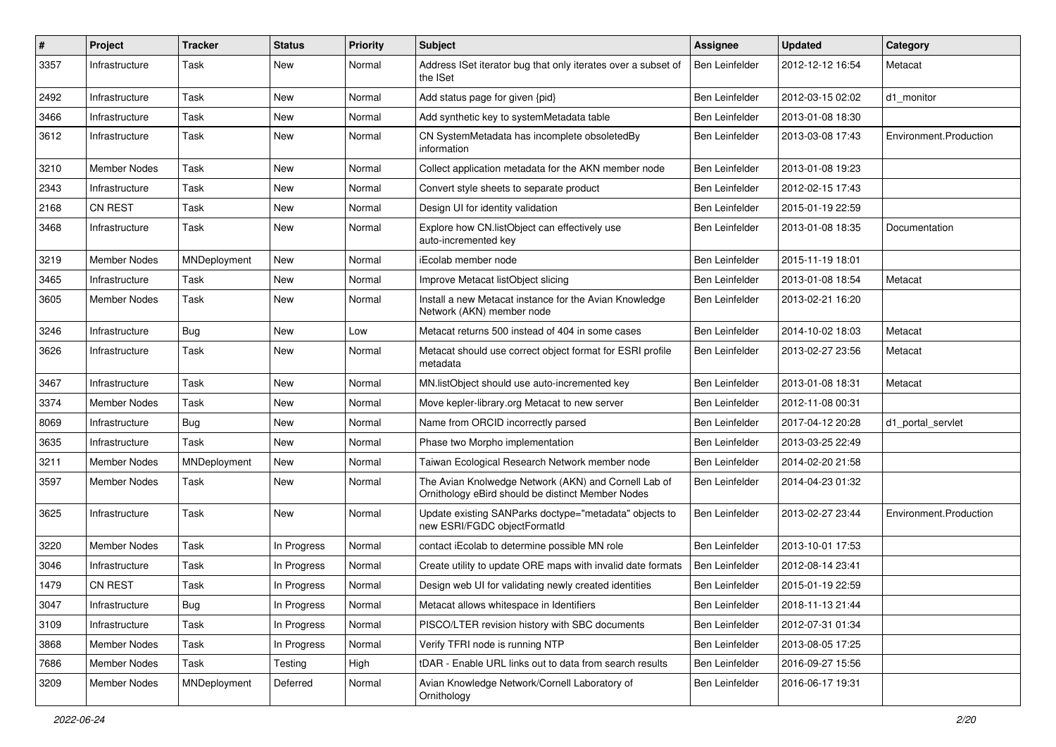| #    | Project             | <b>Tracker</b> | <b>Status</b> | <b>Priority</b> | <b>Subject</b>                                                                                            | Assignee              | <b>Updated</b>   | Category               |
|------|---------------------|----------------|---------------|-----------------|-----------------------------------------------------------------------------------------------------------|-----------------------|------------------|------------------------|
| 3357 | Infrastructure      | Task           | New           | Normal          | Address ISet iterator bug that only iterates over a subset of<br>the ISet                                 | Ben Leinfelder        | 2012-12-12 16:54 | Metacat                |
| 2492 | Infrastructure      | Task           | <b>New</b>    | Normal          | Add status page for given {pid}                                                                           | <b>Ben Leinfelder</b> | 2012-03-15 02:02 | d1_monitor             |
| 3466 | Infrastructure      | Task           | <b>New</b>    | Normal          | Add synthetic key to systemMetadata table                                                                 | Ben Leinfelder        | 2013-01-08 18:30 |                        |
| 3612 | Infrastructure      | Task           | New           | Normal          | CN SystemMetadata has incomplete obsoletedBy<br>information                                               | Ben Leinfelder        | 2013-03-08 17:43 | Environment.Production |
| 3210 | <b>Member Nodes</b> | Task           | <b>New</b>    | Normal          | Collect application metadata for the AKN member node                                                      | Ben Leinfelder        | 2013-01-08 19:23 |                        |
| 2343 | Infrastructure      | Task           | New           | Normal          | Convert style sheets to separate product                                                                  | <b>Ben Leinfelder</b> | 2012-02-15 17:43 |                        |
| 2168 | <b>CN REST</b>      | Task           | New           | Normal          | Design UI for identity validation                                                                         | Ben Leinfelder        | 2015-01-19 22:59 |                        |
| 3468 | Infrastructure      | Task           | New           | Normal          | Explore how CN.listObject can effectively use<br>auto-incremented key                                     | Ben Leinfelder        | 2013-01-08 18:35 | Documentation          |
| 3219 | Member Nodes        | MNDeployment   | <b>New</b>    | Normal          | iEcolab member node                                                                                       | Ben Leinfelder        | 2015-11-19 18:01 |                        |
| 3465 | Infrastructure      | Task           | <b>New</b>    | Normal          | Improve Metacat listObject slicing                                                                        | Ben Leinfelder        | 2013-01-08 18:54 | Metacat                |
| 3605 | Member Nodes        | Task           | New           | Normal          | Install a new Metacat instance for the Avian Knowledge<br>Network (AKN) member node                       | Ben Leinfelder        | 2013-02-21 16:20 |                        |
| 3246 | Infrastructure      | Bug            | <b>New</b>    | Low             | Metacat returns 500 instead of 404 in some cases                                                          | Ben Leinfelder        | 2014-10-02 18:03 | Metacat                |
| 3626 | Infrastructure      | Task           | New           | Normal          | Metacat should use correct object format for ESRI profile<br>metadata                                     | Ben Leinfelder        | 2013-02-27 23:56 | Metacat                |
| 3467 | Infrastructure      | Task           | <b>New</b>    | Normal          | MN.listObject should use auto-incremented key                                                             | Ben Leinfelder        | 2013-01-08 18:31 | Metacat                |
| 3374 | Member Nodes        | Task           | <b>New</b>    | Normal          | Move kepler-library.org Metacat to new server                                                             | Ben Leinfelder        | 2012-11-08 00:31 |                        |
| 8069 | Infrastructure      | Bug            | New           | Normal          | Name from ORCID incorrectly parsed                                                                        | Ben Leinfelder        | 2017-04-12 20:28 | d1 portal servlet      |
| 3635 | Infrastructure      | Task           | <b>New</b>    | Normal          | Phase two Morpho implementation                                                                           | <b>Ben Leinfelder</b> | 2013-03-25 22:49 |                        |
| 3211 | Member Nodes        | MNDeployment   | <b>New</b>    | Normal          | Taiwan Ecological Research Network member node                                                            | Ben Leinfelder        | 2014-02-20 21:58 |                        |
| 3597 | Member Nodes        | Task           | New           | Normal          | The Avian Knolwedge Network (AKN) and Cornell Lab of<br>Ornithology eBird should be distinct Member Nodes | Ben Leinfelder        | 2014-04-23 01:32 |                        |
| 3625 | Infrastructure      | Task           | New           | Normal          | Update existing SANParks doctype="metadata" objects to<br>new ESRI/FGDC objectFormatId                    | Ben Leinfelder        | 2013-02-27 23:44 | Environment.Production |
| 3220 | Member Nodes        | Task           | In Progress   | Normal          | contact iEcolab to determine possible MN role                                                             | <b>Ben Leinfelder</b> | 2013-10-01 17:53 |                        |
| 3046 | Infrastructure      | Task           | In Progress   | Normal          | Create utility to update ORE maps with invalid date formats                                               | <b>Ben Leinfelder</b> | 2012-08-14 23:41 |                        |
| 1479 | <b>CN REST</b>      | Task           | In Progress   | Normal          | Design web UI for validating newly created identities                                                     | Ben Leinfelder        | 2015-01-19 22:59 |                        |
| 3047 | Infrastructure      | <b>Bug</b>     | In Progress   | Normal          | Metacat allows whitespace in Identifiers                                                                  | Ben Leinfelder        | 2018-11-13 21:44 |                        |
| 3109 | Infrastructure      | Task           | In Progress   | Normal          | PISCO/LTER revision history with SBC documents                                                            | Ben Leinfelder        | 2012-07-31 01:34 |                        |
| 3868 | Member Nodes        | Task           | In Progress   | Normal          | Verify TFRI node is running NTP                                                                           | Ben Leinfelder        | 2013-08-05 17:25 |                        |
| 7686 | Member Nodes        | Task           | Testing       | High            | tDAR - Enable URL links out to data from search results                                                   | <b>Ben Leinfelder</b> | 2016-09-27 15:56 |                        |
| 3209 | Member Nodes        | MNDeployment   | Deferred      | Normal          | Avian Knowledge Network/Cornell Laboratory of<br>Ornithology                                              | Ben Leinfelder        | 2016-06-17 19:31 |                        |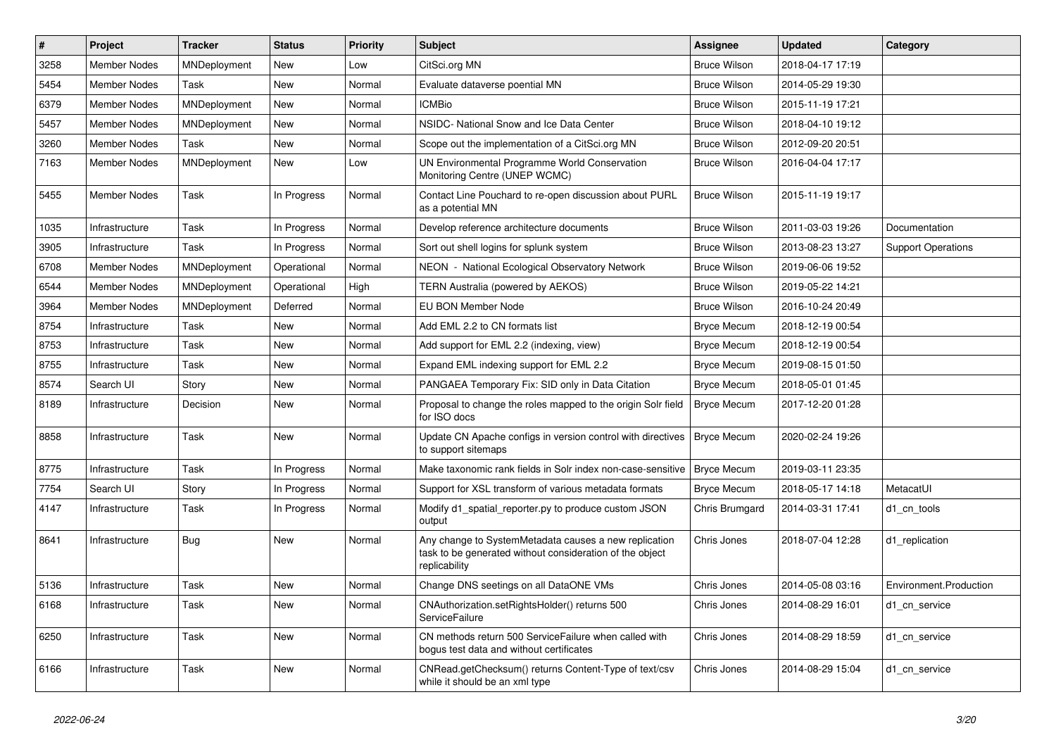| $\#$ | <b>Project</b>      | <b>Tracker</b> | <b>Status</b> | <b>Priority</b> | <b>Subject</b>                                                                                                                     | Assignee            | <b>Updated</b>   | Category                  |
|------|---------------------|----------------|---------------|-----------------|------------------------------------------------------------------------------------------------------------------------------------|---------------------|------------------|---------------------------|
| 3258 | <b>Member Nodes</b> | MNDeployment   | <b>New</b>    | Low             | CitSci.org MN                                                                                                                      | <b>Bruce Wilson</b> | 2018-04-17 17:19 |                           |
| 5454 | <b>Member Nodes</b> | Task           | <b>New</b>    | Normal          | Evaluate dataverse poential MN                                                                                                     | <b>Bruce Wilson</b> | 2014-05-29 19:30 |                           |
| 6379 | <b>Member Nodes</b> | MNDeployment   | <b>New</b>    | Normal          | <b>ICMBio</b>                                                                                                                      | <b>Bruce Wilson</b> | 2015-11-19 17:21 |                           |
| 5457 | Member Nodes        | MNDeployment   | New           | Normal          | NSIDC- National Snow and Ice Data Center                                                                                           | <b>Bruce Wilson</b> | 2018-04-10 19:12 |                           |
| 3260 | <b>Member Nodes</b> | Task           | <b>New</b>    | Normal          | Scope out the implementation of a CitSci.org MN                                                                                    | <b>Bruce Wilson</b> | 2012-09-20 20:51 |                           |
| 7163 | <b>Member Nodes</b> | MNDeployment   | New           | Low             | UN Environmental Programme World Conservation<br>Monitoring Centre (UNEP WCMC)                                                     | <b>Bruce Wilson</b> | 2016-04-04 17:17 |                           |
| 5455 | <b>Member Nodes</b> | Task           | In Progress   | Normal          | Contact Line Pouchard to re-open discussion about PURL<br>as a potential MN                                                        | <b>Bruce Wilson</b> | 2015-11-19 19:17 |                           |
| 1035 | Infrastructure      | Task           | In Progress   | Normal          | Develop reference architecture documents                                                                                           | <b>Bruce Wilson</b> | 2011-03-03 19:26 | Documentation             |
| 3905 | Infrastructure      | Task           | In Progress   | Normal          | Sort out shell logins for splunk system                                                                                            | <b>Bruce Wilson</b> | 2013-08-23 13:27 | <b>Support Operations</b> |
| 6708 | <b>Member Nodes</b> | MNDeployment   | Operational   | Normal          | NEON - National Ecological Observatory Network                                                                                     | <b>Bruce Wilson</b> | 2019-06-06 19:52 |                           |
| 6544 | <b>Member Nodes</b> | MNDeployment   | Operational   | High            | <b>TERN Australia (powered by AEKOS)</b>                                                                                           | <b>Bruce Wilson</b> | 2019-05-22 14:21 |                           |
| 3964 | <b>Member Nodes</b> | MNDeployment   | Deferred      | Normal          | EU BON Member Node                                                                                                                 | Bruce Wilson        | 2016-10-24 20:49 |                           |
| 8754 | Infrastructure      | Task           | <b>New</b>    | Normal          | Add EML 2.2 to CN formats list                                                                                                     | <b>Bryce Mecum</b>  | 2018-12-19 00:54 |                           |
| 8753 | Infrastructure      | Task           | <b>New</b>    | Normal          | Add support for EML 2.2 (indexing, view)                                                                                           | <b>Bryce Mecum</b>  | 2018-12-19 00:54 |                           |
| 8755 | Infrastructure      | Task           | <b>New</b>    | Normal          | Expand EML indexing support for EML 2.2                                                                                            | <b>Bryce Mecum</b>  | 2019-08-15 01:50 |                           |
| 8574 | Search UI           | Story          | <b>New</b>    | Normal          | PANGAEA Temporary Fix: SID only in Data Citation                                                                                   | <b>Bryce Mecum</b>  | 2018-05-01 01:45 |                           |
| 8189 | Infrastructure      | Decision       | New           | Normal          | Proposal to change the roles mapped to the origin Solr field<br>for ISO docs                                                       | <b>Bryce Mecum</b>  | 2017-12-20 01:28 |                           |
| 8858 | Infrastructure      | Task           | <b>New</b>    | Normal          | Update CN Apache configs in version control with directives<br>to support sitemaps                                                 | <b>Bryce Mecum</b>  | 2020-02-24 19:26 |                           |
| 8775 | Infrastructure      | Task           | In Progress   | Normal          | Make taxonomic rank fields in Solr index non-case-sensitive                                                                        | <b>Bryce Mecum</b>  | 2019-03-11 23:35 |                           |
| 7754 | Search UI           | Story          | In Progress   | Normal          | Support for XSL transform of various metadata formats                                                                              | <b>Bryce Mecum</b>  | 2018-05-17 14:18 | MetacatUI                 |
| 4147 | Infrastructure      | Task           | In Progress   | Normal          | Modify d1 spatial reporter.py to produce custom JSON<br>output                                                                     | Chris Brumgard      | 2014-03-31 17:41 | d1 cn tools               |
| 8641 | Infrastructure      | <b>Bug</b>     | <b>New</b>    | Normal          | Any change to SystemMetadata causes a new replication<br>task to be generated without consideration of the object<br>replicability | Chris Jones         | 2018-07-04 12:28 | d1 replication            |
| 5136 | Infrastructure      | Task           | <b>New</b>    | Normal          | Change DNS seetings on all DataONE VMs                                                                                             | Chris Jones         | 2014-05-08 03:16 | Environment.Production    |
| 6168 | Infrastructure      | Task           | <b>New</b>    | Normal          | CNAuthorization.setRightsHolder() returns 500<br><b>ServiceFailure</b>                                                             | Chris Jones         | 2014-08-29 16:01 | d1 cn service             |
| 6250 | Infrastructure      | Task           | <b>New</b>    | Normal          | CN methods return 500 ServiceFailure when called with<br>bogus test data and without certificates                                  | Chris Jones         | 2014-08-29 18:59 | d1 cn service             |
| 6166 | Infrastructure      | Task           | <b>New</b>    | Normal          | CNRead.getChecksum() returns Content-Type of text/csv<br>while it should be an xml type                                            | Chris Jones         | 2014-08-29 15:04 | d1_cn_service             |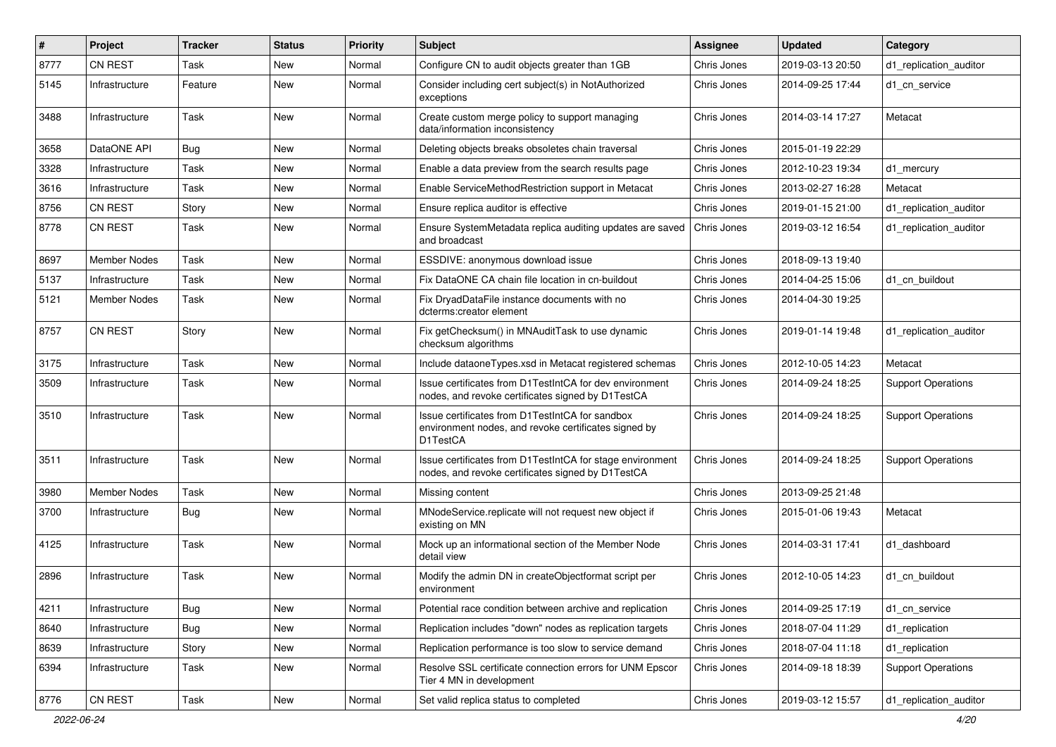| #    | Project             | <b>Tracker</b> | <b>Status</b> | <b>Priority</b> | <b>Subject</b>                                                                                                      | Assignee    | <b>Updated</b>   | Category                  |
|------|---------------------|----------------|---------------|-----------------|---------------------------------------------------------------------------------------------------------------------|-------------|------------------|---------------------------|
| 8777 | CN REST             | Task           | <b>New</b>    | Normal          | Configure CN to audit objects greater than 1GB                                                                      | Chris Jones | 2019-03-13 20:50 | d1 replication auditor    |
| 5145 | Infrastructure      | Feature        | New           | Normal          | Consider including cert subject(s) in NotAuthorized<br>exceptions                                                   | Chris Jones | 2014-09-25 17:44 | d1 cn service             |
| 3488 | Infrastructure      | Task           | <b>New</b>    | Normal          | Create custom merge policy to support managing<br>data/information inconsistency                                    | Chris Jones | 2014-03-14 17:27 | Metacat                   |
| 3658 | DataONE API         | <b>Bug</b>     | <b>New</b>    | Normal          | Deleting objects breaks obsoletes chain traversal                                                                   | Chris Jones | 2015-01-19 22:29 |                           |
| 3328 | Infrastructure      | Task           | <b>New</b>    | Normal          | Enable a data preview from the search results page                                                                  | Chris Jones | 2012-10-23 19:34 | d1_mercury                |
| 3616 | Infrastructure      | Task           | New           | Normal          | Enable ServiceMethodRestriction support in Metacat                                                                  | Chris Jones | 2013-02-27 16:28 | Metacat                   |
| 8756 | <b>CN REST</b>      | Story          | <b>New</b>    | Normal          | Ensure replica auditor is effective                                                                                 | Chris Jones | 2019-01-15 21:00 | d1_replication_auditor    |
| 8778 | <b>CN REST</b>      | Task           | New           | Normal          | Ensure SystemMetadata replica auditing updates are saved<br>and broadcast                                           | Chris Jones | 2019-03-12 16:54 | d1 replication auditor    |
| 8697 | <b>Member Nodes</b> | Task           | <b>New</b>    | Normal          | ESSDIVE: anonymous download issue                                                                                   | Chris Jones | 2018-09-13 19:40 |                           |
| 5137 | Infrastructure      | Task           | <b>New</b>    | Normal          | Fix DataONE CA chain file location in cn-buildout                                                                   | Chris Jones | 2014-04-25 15:06 | d1 cn buildout            |
| 5121 | Member Nodes        | Task           | New           | Normal          | Fix DryadDataFile instance documents with no<br>dcterms:creator element                                             | Chris Jones | 2014-04-30 19:25 |                           |
| 8757 | <b>CN REST</b>      | Story          | New           | Normal          | Fix getChecksum() in MNAuditTask to use dynamic<br>checksum algorithms                                              | Chris Jones | 2019-01-14 19:48 | d1 replication auditor    |
| 3175 | Infrastructure      | Task           | <b>New</b>    | Normal          | Include dataoneTypes.xsd in Metacat registered schemas                                                              | Chris Jones | 2012-10-05 14:23 | Metacat                   |
| 3509 | Infrastructure      | Task           | <b>New</b>    | Normal          | Issue certificates from D1TestIntCA for dev environment<br>nodes, and revoke certificates signed by D1TestCA        | Chris Jones | 2014-09-24 18:25 | <b>Support Operations</b> |
| 3510 | Infrastructure      | Task           | <b>New</b>    | Normal          | Issue certificates from D1TestIntCA for sandbox<br>environment nodes, and revoke certificates signed by<br>D1TestCA | Chris Jones | 2014-09-24 18:25 | <b>Support Operations</b> |
| 3511 | Infrastructure      | Task           | <b>New</b>    | Normal          | Issue certificates from D1TestIntCA for stage environment<br>nodes, and revoke certificates signed by D1TestCA      | Chris Jones | 2014-09-24 18:25 | <b>Support Operations</b> |
| 3980 | <b>Member Nodes</b> | Task           | <b>New</b>    | Normal          | Missing content                                                                                                     | Chris Jones | 2013-09-25 21:48 |                           |
| 3700 | Infrastructure      | <b>Bug</b>     | New           | Normal          | MNodeService.replicate will not request new object if<br>existing on MN                                             | Chris Jones | 2015-01-06 19:43 | Metacat                   |
| 4125 | Infrastructure      | Task           | New           | Normal          | Mock up an informational section of the Member Node<br>detail view                                                  | Chris Jones | 2014-03-31 17:41 | d1_dashboard              |
| 2896 | Infrastructure      | Task           | <b>New</b>    | Normal          | Modify the admin DN in createObjectformat script per<br>environment                                                 | Chris Jones | 2012-10-05 14:23 | d1 cn buildout            |
| 4211 | Infrastructure      | <b>Bug</b>     | New           | Normal          | Potential race condition between archive and replication                                                            | Chris Jones | 2014-09-25 17:19 | d1 cn service             |
| 8640 | Infrastructure      | Bug            | New           | Normal          | Replication includes "down" nodes as replication targets                                                            | Chris Jones | 2018-07-04 11:29 | d1_replication            |
| 8639 | Infrastructure      | Story          | New           | Normal          | Replication performance is too slow to service demand                                                               | Chris Jones | 2018-07-04 11:18 | d1_replication            |
| 6394 | Infrastructure      | Task           | New           | Normal          | Resolve SSL certificate connection errors for UNM Epscor<br>Tier 4 MN in development                                | Chris Jones | 2014-09-18 18:39 | <b>Support Operations</b> |
| 8776 | CN REST             | Task           | New           | Normal          | Set valid replica status to completed                                                                               | Chris Jones | 2019-03-12 15:57 | d1_replication_auditor    |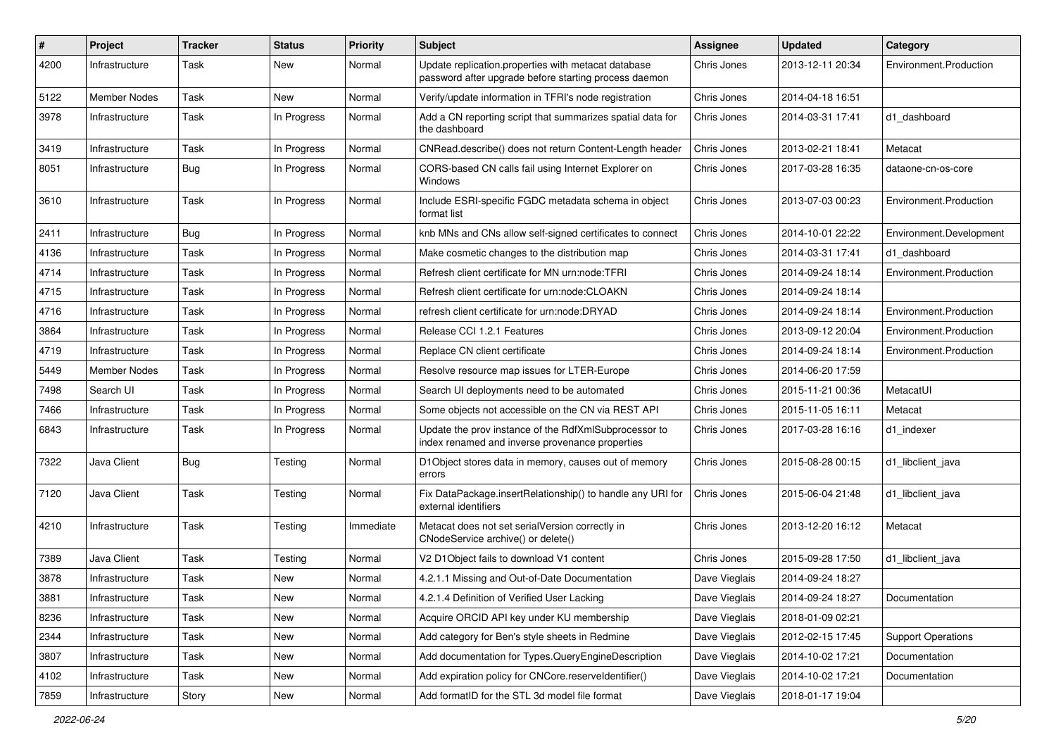| #    | Project             | <b>Tracker</b> | <b>Status</b> | <b>Priority</b> | <b>Subject</b>                                                                                               | Assignee      | <b>Updated</b>   | Category                  |
|------|---------------------|----------------|---------------|-----------------|--------------------------------------------------------------------------------------------------------------|---------------|------------------|---------------------------|
| 4200 | Infrastructure      | Task           | New           | Normal          | Update replication.properties with metacat database<br>password after upgrade before starting process daemon | Chris Jones   | 2013-12-11 20:34 | Environment.Production    |
| 5122 | Member Nodes        | Task           | New           | Normal          | Verify/update information in TFRI's node registration                                                        | Chris Jones   | 2014-04-18 16:51 |                           |
| 3978 | Infrastructure      | Task           | In Progress   | Normal          | Add a CN reporting script that summarizes spatial data for<br>the dashboard                                  | Chris Jones   | 2014-03-31 17:41 | d1 dashboard              |
| 3419 | Infrastructure      | Task           | In Progress   | Normal          | CNRead.describe() does not return Content-Length header                                                      | Chris Jones   | 2013-02-21 18:41 | Metacat                   |
| 8051 | Infrastructure      | Bug            | In Progress   | Normal          | CORS-based CN calls fail using Internet Explorer on<br><b>Windows</b>                                        | Chris Jones   | 2017-03-28 16:35 | dataone-cn-os-core        |
| 3610 | Infrastructure      | Task           | In Progress   | Normal          | Include ESRI-specific FGDC metadata schema in object<br>format list                                          | Chris Jones   | 2013-07-03 00:23 | Environment.Production    |
| 2411 | Infrastructure      | <b>Bug</b>     | In Progress   | Normal          | knb MNs and CNs allow self-signed certificates to connect                                                    | Chris Jones   | 2014-10-01 22:22 | Environment.Development   |
| 4136 | Infrastructure      | Task           | In Progress   | Normal          | Make cosmetic changes to the distribution map                                                                | Chris Jones   | 2014-03-31 17:41 | d1 dashboard              |
| 4714 | Infrastructure      | Task           | In Progress   | Normal          | Refresh client certificate for MN urn:node:TFRI                                                              | Chris Jones   | 2014-09-24 18:14 | Environment.Production    |
| 4715 | Infrastructure      | Task           | In Progress   | Normal          | Refresh client certificate for urn:node:CLOAKN                                                               | Chris Jones   | 2014-09-24 18:14 |                           |
| 4716 | Infrastructure      | Task           | In Progress   | Normal          | refresh client certificate for urn:node:DRYAD                                                                | Chris Jones   | 2014-09-24 18:14 | Environment.Production    |
| 3864 | Infrastructure      | Task           | In Progress   | Normal          | Release CCI 1.2.1 Features                                                                                   | Chris Jones   | 2013-09-12 20:04 | Environment.Production    |
| 4719 | Infrastructure      | Task           | In Progress   | Normal          | Replace CN client certificate                                                                                | Chris Jones   | 2014-09-24 18:14 | Environment.Production    |
| 5449 | <b>Member Nodes</b> | Task           | In Progress   | Normal          | Resolve resource map issues for LTER-Europe                                                                  | Chris Jones   | 2014-06-20 17:59 |                           |
| 7498 | Search UI           | Task           | In Progress   | Normal          | Search UI deployments need to be automated                                                                   | Chris Jones   | 2015-11-21 00:36 | MetacatUI                 |
| 7466 | Infrastructure      | Task           | In Progress   | Normal          | Some objects not accessible on the CN via REST API                                                           | Chris Jones   | 2015-11-05 16:11 | Metacat                   |
| 6843 | Infrastructure      | Task           | In Progress   | Normal          | Update the prov instance of the RdfXmlSubprocessor to<br>index renamed and inverse provenance properties     | Chris Jones   | 2017-03-28 16:16 | d1 indexer                |
| 7322 | Java Client         | Bug            | Testing       | Normal          | D1Object stores data in memory, causes out of memory<br>errors                                               | Chris Jones   | 2015-08-28 00:15 | d1_libclient_java         |
| 7120 | Java Client         | Task           | Testing       | Normal          | Fix DataPackage.insertRelationship() to handle any URI for<br>external identifiers                           | Chris Jones   | 2015-06-04 21:48 | d1 libclient java         |
| 4210 | Infrastructure      | Task           | Testing       | Immediate       | Metacat does not set serialVersion correctly in<br>CNodeService archive() or delete()                        | Chris Jones   | 2013-12-20 16:12 | Metacat                   |
| 7389 | Java Client         | Task           | Testing       | Normal          | V2 D1Object fails to download V1 content                                                                     | Chris Jones   | 2015-09-28 17:50 | d1 libclient java         |
| 3878 | Infrastructure      | Task           | New           | Normal          | 4.2.1.1 Missing and Out-of-Date Documentation                                                                | Dave Vieglais | 2014-09-24 18:27 |                           |
| 3881 | Infrastructure      | Task           | New           | Normal          | 4.2.1.4 Definition of Verified User Lacking                                                                  | Dave Vieglais | 2014-09-24 18:27 | Documentation             |
| 8236 | Infrastructure      | Task           | New           | Normal          | Acquire ORCID API key under KU membership                                                                    | Dave Vieglais | 2018-01-09 02:21 |                           |
| 2344 | Infrastructure      | Task           | New           | Normal          | Add category for Ben's style sheets in Redmine                                                               | Dave Vieglais | 2012-02-15 17:45 | <b>Support Operations</b> |
| 3807 | Infrastructure      | Task           | New           | Normal          | Add documentation for Types.QueryEngineDescription                                                           | Dave Vieglais | 2014-10-02 17:21 | Documentation             |
| 4102 | Infrastructure      | Task           | New           | Normal          | Add expiration policy for CNCore.reserveldentifier()                                                         | Dave Vieglais | 2014-10-02 17:21 | Documentation             |
| 7859 | Infrastructure      | Story          | New           | Normal          | Add formatID for the STL 3d model file format                                                                | Dave Vieglais | 2018-01-17 19:04 |                           |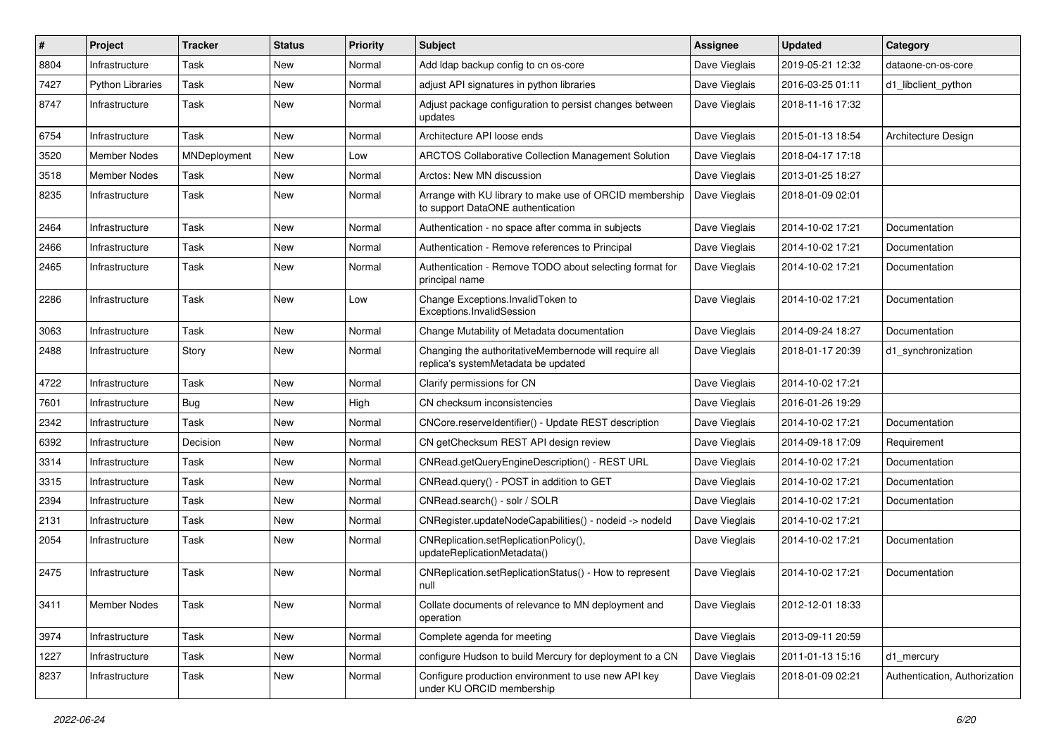| #    | Project                 | <b>Tracker</b> | <b>Status</b> | <b>Priority</b> | <b>Subject</b>                                                                               | Assignee      | <b>Updated</b>   | Category                      |
|------|-------------------------|----------------|---------------|-----------------|----------------------------------------------------------------------------------------------|---------------|------------------|-------------------------------|
| 8804 | Infrastructure          | Task           | <b>New</b>    | Normal          | Add Idap backup config to cn os-core                                                         | Dave Vieglais | 2019-05-21 12:32 | dataone-cn-os-core            |
| 7427 | <b>Python Libraries</b> | Task           | <b>New</b>    | Normal          | adjust API signatures in python libraries                                                    | Dave Vieglais | 2016-03-25 01:11 | d1 libclient python           |
| 8747 | Infrastructure          | Task           | <b>New</b>    | Normal          | Adjust package configuration to persist changes between<br>updates                           | Dave Vieglais | 2018-11-16 17:32 |                               |
| 6754 | Infrastructure          | Task           | <b>New</b>    | Normal          | Architecture API loose ends                                                                  | Dave Vieglais | 2015-01-13 18:54 | Architecture Design           |
| 3520 | Member Nodes            | MNDeployment   | <b>New</b>    | Low             | <b>ARCTOS Collaborative Collection Management Solution</b>                                   | Dave Vieglais | 2018-04-17 17:18 |                               |
| 3518 | Member Nodes            | Task           | <b>New</b>    | Normal          | Arctos: New MN discussion                                                                    | Dave Vieglais | 2013-01-25 18:27 |                               |
| 8235 | Infrastructure          | Task           | <b>New</b>    | Normal          | Arrange with KU library to make use of ORCID membership<br>to support DataONE authentication | Dave Vieglais | 2018-01-09 02:01 |                               |
| 2464 | Infrastructure          | Task           | <b>New</b>    | Normal          | Authentication - no space after comma in subjects                                            | Dave Vieglais | 2014-10-02 17:21 | Documentation                 |
| 2466 | Infrastructure          | Task           | <b>New</b>    | Normal          | Authentication - Remove references to Principal                                              | Dave Vieglais | 2014-10-02 17:21 | Documentation                 |
| 2465 | Infrastructure          | Task           | <b>New</b>    | Normal          | Authentication - Remove TODO about selecting format for<br>principal name                    | Dave Vieglais | 2014-10-02 17:21 | Documentation                 |
| 2286 | Infrastructure          | Task           | <b>New</b>    | Low             | Change Exceptions. InvalidToken to<br>Exceptions.InvalidSession                              | Dave Vieglais | 2014-10-02 17:21 | Documentation                 |
| 3063 | Infrastructure          | Task           | <b>New</b>    | Normal          | Change Mutability of Metadata documentation                                                  | Dave Vieglais | 2014-09-24 18:27 | Documentation                 |
| 2488 | Infrastructure          | Story          | <b>New</b>    | Normal          | Changing the authoritativeMembernode will require all<br>replica's systemMetadata be updated | Dave Vieglais | 2018-01-17 20:39 | d1_synchronization            |
| 4722 | Infrastructure          | Task           | <b>New</b>    | Normal          | Clarify permissions for CN                                                                   | Dave Vieglais | 2014-10-02 17:21 |                               |
| 7601 | Infrastructure          | <b>Bug</b>     | <b>New</b>    | High            | CN checksum inconsistencies                                                                  | Dave Vieglais | 2016-01-26 19:29 |                               |
| 2342 | Infrastructure          | Task           | <b>New</b>    | Normal          | CNCore.reserveldentifier() - Update REST description                                         | Dave Vieglais | 2014-10-02 17:21 | Documentation                 |
| 6392 | Infrastructure          | Decision       | <b>New</b>    | Normal          | CN getChecksum REST API design review                                                        | Dave Vieglais | 2014-09-18 17:09 | Requirement                   |
| 3314 | Infrastructure          | Task           | <b>New</b>    | Normal          | CNRead.getQueryEngineDescription() - REST URL                                                | Dave Vieglais | 2014-10-02 17:21 | Documentation                 |
| 3315 | Infrastructure          | Task           | New           | Normal          | CNRead.query() - POST in addition to GET                                                     | Dave Vieglais | 2014-10-02 17:21 | Documentation                 |
| 2394 | Infrastructure          | Task           | New           | Normal          | CNRead.search() - solr / SOLR                                                                | Dave Vieglais | 2014-10-02 17:21 | Documentation                 |
| 2131 | Infrastructure          | Task           | <b>New</b>    | Normal          | CNRegister.updateNodeCapabilities() - nodeid -> nodeId                                       | Dave Vieglais | 2014-10-02 17:21 |                               |
| 2054 | Infrastructure          | Task           | New           | Normal          | CNReplication.setReplicationPolicy(),<br>updateReplicationMetadata()                         | Dave Vieglais | 2014-10-02 17:21 | Documentation                 |
| 2475 | Infrastructure          | Task           | <b>New</b>    | Normal          | CNReplication.setReplicationStatus() - How to represent<br>null                              | Dave Vieglais | 2014-10-02 17:21 | Documentation                 |
| 3411 | <b>Member Nodes</b>     | Task           | New           | Normal          | Collate documents of relevance to MN deployment and<br>operation                             | Dave Vieglais | 2012-12-01 18:33 |                               |
| 3974 | Infrastructure          | Task           | New           | Normal          | Complete agenda for meeting                                                                  | Dave Vieglais | 2013-09-11 20:59 |                               |
| 1227 | Infrastructure          | Task           | New           | Normal          | configure Hudson to build Mercury for deployment to a CN                                     | Dave Vieglais | 2011-01-13 15:16 | d1_mercury                    |
| 8237 | Infrastructure          | Task           | New           | Normal          | Configure production environment to use new API key<br>under KU ORCID membership             | Dave Vieglais | 2018-01-09 02:21 | Authentication, Authorization |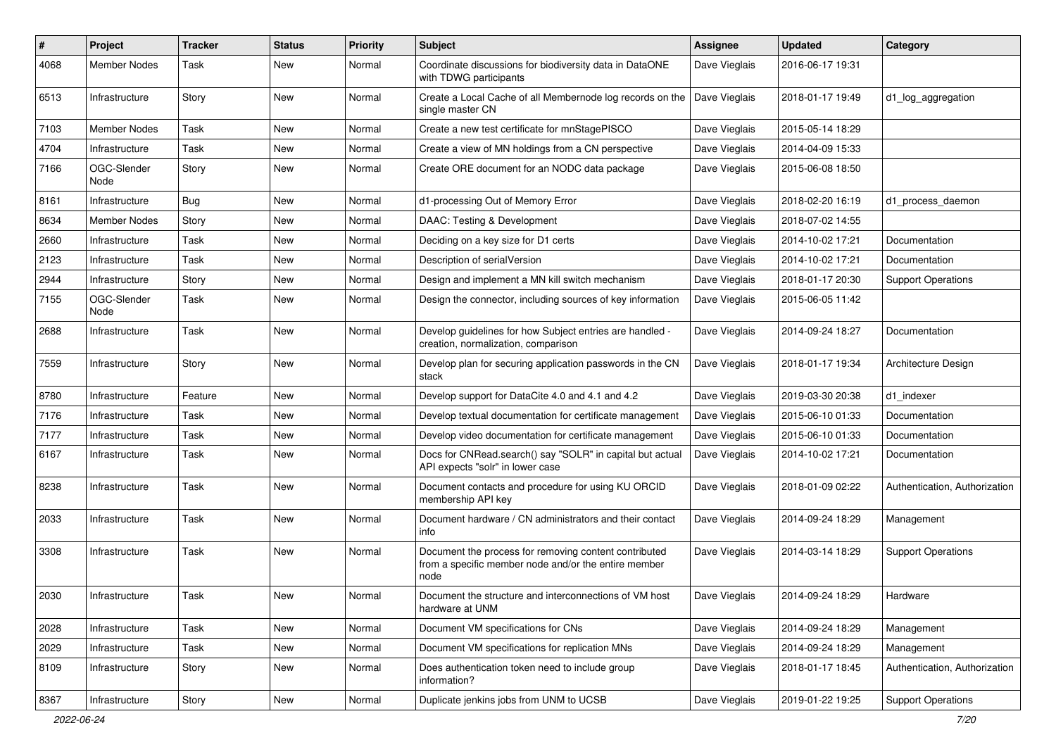| #    | Project             | <b>Tracker</b> | <b>Status</b> | <b>Priority</b> | <b>Subject</b>                                                                                                        | <b>Assignee</b> | <b>Updated</b>   | Category                      |
|------|---------------------|----------------|---------------|-----------------|-----------------------------------------------------------------------------------------------------------------------|-----------------|------------------|-------------------------------|
| 4068 | <b>Member Nodes</b> | Task           | New           | Normal          | Coordinate discussions for biodiversity data in DataONE<br>with TDWG participants                                     | Dave Vieglais   | 2016-06-17 19:31 |                               |
| 6513 | Infrastructure      | Story          | New           | Normal          | Create a Local Cache of all Membernode log records on the<br>single master CN                                         | Dave Vieglais   | 2018-01-17 19:49 | d1_log_aggregation            |
| 7103 | <b>Member Nodes</b> | Task           | <b>New</b>    | Normal          | Create a new test certificate for mnStagePISCO                                                                        | Dave Vieglais   | 2015-05-14 18:29 |                               |
| 4704 | Infrastructure      | Task           | New           | Normal          | Create a view of MN holdings from a CN perspective                                                                    | Dave Vieglais   | 2014-04-09 15:33 |                               |
| 7166 | OGC-Slender<br>Node | Story          | New           | Normal          | Create ORE document for an NODC data package                                                                          | Dave Vieglais   | 2015-06-08 18:50 |                               |
| 8161 | Infrastructure      | Bug            | <b>New</b>    | Normal          | d1-processing Out of Memory Error                                                                                     | Dave Vieglais   | 2018-02-20 16:19 | d1_process_daemon             |
| 8634 | <b>Member Nodes</b> | Story          | New           | Normal          | DAAC: Testing & Development                                                                                           | Dave Vieglais   | 2018-07-02 14:55 |                               |
| 2660 | Infrastructure      | Task           | New           | Normal          | Deciding on a key size for D1 certs                                                                                   | Dave Vieglais   | 2014-10-02 17:21 | Documentation                 |
| 2123 | Infrastructure      | Task           | New           | Normal          | Description of serialVersion                                                                                          | Dave Vieglais   | 2014-10-02 17:21 | Documentation                 |
| 2944 | Infrastructure      | Story          | New           | Normal          | Design and implement a MN kill switch mechanism                                                                       | Dave Vieglais   | 2018-01-17 20:30 | <b>Support Operations</b>     |
| 7155 | OGC-Slender<br>Node | Task           | New           | Normal          | Design the connector, including sources of key information                                                            | Dave Vieglais   | 2015-06-05 11:42 |                               |
| 2688 | Infrastructure      | Task           | New           | Normal          | Develop guidelines for how Subject entries are handled -<br>creation, normalization, comparison                       | Dave Vieglais   | 2014-09-24 18:27 | Documentation                 |
| 7559 | Infrastructure      | Story          | New           | Normal          | Develop plan for securing application passwords in the CN<br>stack                                                    | Dave Vieglais   | 2018-01-17 19:34 | Architecture Design           |
| 8780 | Infrastructure      | Feature        | New           | Normal          | Develop support for DataCite 4.0 and 4.1 and 4.2                                                                      | Dave Vieglais   | 2019-03-30 20:38 | d1 indexer                    |
| 7176 | Infrastructure      | Task           | New           | Normal          | Develop textual documentation for certificate management                                                              | Dave Vieglais   | 2015-06-10 01:33 | Documentation                 |
| 7177 | Infrastructure      | Task           | New           | Normal          | Develop video documentation for certificate management                                                                | Dave Vieglais   | 2015-06-10 01:33 | Documentation                 |
| 6167 | Infrastructure      | Task           | New           | Normal          | Docs for CNRead.search() say "SOLR" in capital but actual<br>API expects "solr" in lower case                         | Dave Vieglais   | 2014-10-02 17:21 | Documentation                 |
| 8238 | Infrastructure      | Task           | New           | Normal          | Document contacts and procedure for using KU ORCID<br>membership API key                                              | Dave Vieglais   | 2018-01-09 02:22 | Authentication, Authorization |
| 2033 | Infrastructure      | Task           | New           | Normal          | Document hardware / CN administrators and their contact<br>info                                                       | Dave Vieglais   | 2014-09-24 18:29 | Management                    |
| 3308 | Infrastructure      | Task           | New           | Normal          | Document the process for removing content contributed<br>from a specific member node and/or the entire member<br>node | Dave Vieglais   | 2014-03-14 18:29 | <b>Support Operations</b>     |
| 2030 | Infrastructure      | Task           | New           | Normal          | Document the structure and interconnections of VM host<br>hardware at UNM                                             | Dave Vieglais   | 2014-09-24 18:29 | Hardware                      |
| 2028 | Infrastructure      | Task           | New           | Normal          | Document VM specifications for CNs                                                                                    | Dave Vieglais   | 2014-09-24 18:29 | Management                    |
| 2029 | Infrastructure      | Task           | New           | Normal          | Document VM specifications for replication MNs                                                                        | Dave Vieglais   | 2014-09-24 18:29 | Management                    |
| 8109 | Infrastructure      | Story          | New           | Normal          | Does authentication token need to include group<br>information?                                                       | Dave Vieglais   | 2018-01-17 18:45 | Authentication, Authorization |
| 8367 | Infrastructure      | Story          | New           | Normal          | Duplicate jenkins jobs from UNM to UCSB                                                                               | Dave Vieglais   | 2019-01-22 19:25 | <b>Support Operations</b>     |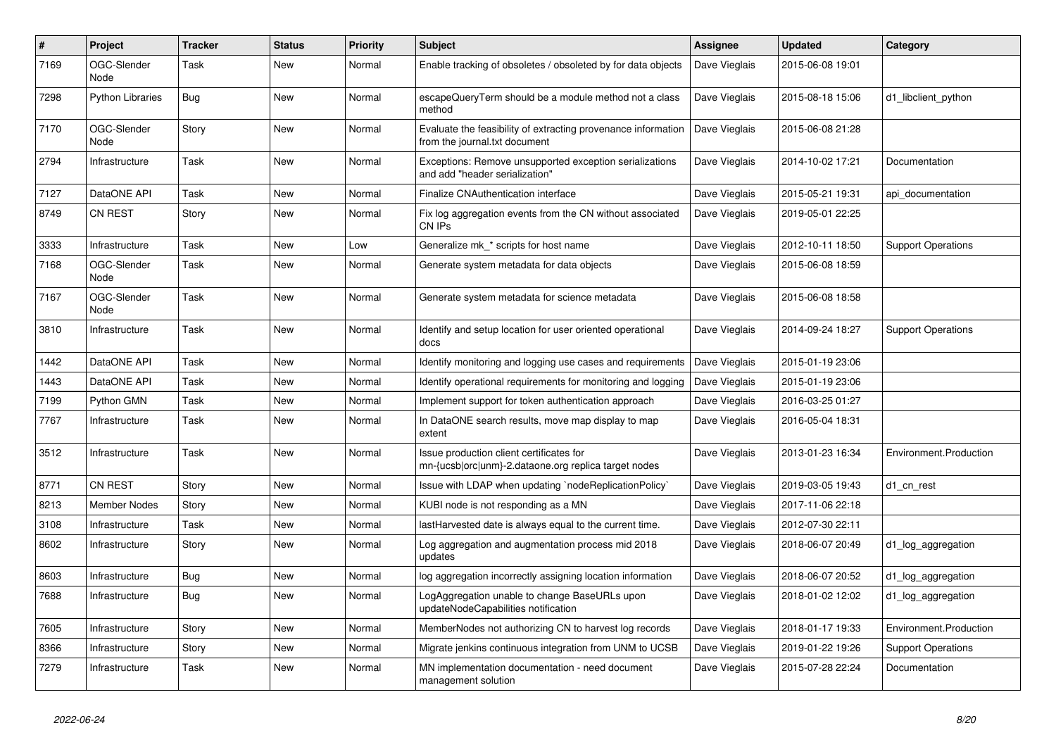| $\sharp$ | Project                 | <b>Tracker</b> | <b>Status</b> | <b>Priority</b> | <b>Subject</b>                                                                                   | <b>Assignee</b> | <b>Updated</b>   | Category                  |
|----------|-------------------------|----------------|---------------|-----------------|--------------------------------------------------------------------------------------------------|-----------------|------------------|---------------------------|
| 7169     | OGC-Slender<br>Node     | Task           | New           | Normal          | Enable tracking of obsoletes / obsoleted by for data objects                                     | Dave Vieglais   | 2015-06-08 19:01 |                           |
| 7298     | <b>Python Libraries</b> | Bug            | New           | Normal          | escapeQueryTerm should be a module method not a class<br>method                                  | Dave Vieglais   | 2015-08-18 15:06 | d1 libclient python       |
| 7170     | OGC-Slender<br>Node     | Story          | New           | Normal          | Evaluate the feasibility of extracting provenance information<br>from the journal.txt document   | Dave Vieglais   | 2015-06-08 21:28 |                           |
| 2794     | Infrastructure          | Task           | New           | Normal          | Exceptions: Remove unsupported exception serializations<br>and add "header serialization"        | Dave Vieglais   | 2014-10-02 17:21 | Documentation             |
| 7127     | DataONE API             | Task           | <b>New</b>    | Normal          | Finalize CNAuthentication interface                                                              | Dave Vieglais   | 2015-05-21 19:31 | api documentation         |
| 8749     | CN REST                 | Story          | New           | Normal          | Fix log aggregation events from the CN without associated<br>CN IPs                              | Dave Vieglais   | 2019-05-01 22:25 |                           |
| 3333     | Infrastructure          | Task           | New           | Low             | Generalize mk_* scripts for host name                                                            | Dave Vieglais   | 2012-10-11 18:50 | <b>Support Operations</b> |
| 7168     | OGC-Slender<br>Node     | Task           | New           | Normal          | Generate system metadata for data objects                                                        | Dave Vieglais   | 2015-06-08 18:59 |                           |
| 7167     | OGC-Slender<br>Node     | Task           | New           | Normal          | Generate system metadata for science metadata                                                    | Dave Vieglais   | 2015-06-08 18:58 |                           |
| 3810     | Infrastructure          | Task           | <b>New</b>    | Normal          | Identify and setup location for user oriented operational<br>docs                                | Dave Vieglais   | 2014-09-24 18:27 | <b>Support Operations</b> |
| 1442     | DataONE API             | Task           | New           | Normal          | Identify monitoring and logging use cases and requirements                                       | Dave Vieglais   | 2015-01-19 23:06 |                           |
| 1443     | DataONE API             | Task           | New           | Normal          | Identify operational requirements for monitoring and logging                                     | Dave Vieglais   | 2015-01-19 23:06 |                           |
| 7199     | Python GMN              | Task           | New           | Normal          | Implement support for token authentication approach                                              | Dave Vieglais   | 2016-03-25 01:27 |                           |
| 7767     | Infrastructure          | Task           | New           | Normal          | In DataONE search results, move map display to map<br>extent                                     | Dave Vieglais   | 2016-05-04 18:31 |                           |
| 3512     | Infrastructure          | Task           | New           | Normal          | Issue production client certificates for<br>mn-{ucsb orc unm}-2.dataone.org replica target nodes | Dave Vieglais   | 2013-01-23 16:34 | Environment.Production    |
| 8771     | CN REST                 | Story          | New           | Normal          | Issue with LDAP when updating `nodeReplicationPolicy`                                            | Dave Vieglais   | 2019-03-05 19:43 | d1_cn_rest                |
| 8213     | Member Nodes            | Story          | New           | Normal          | KUBI node is not responding as a MN                                                              | Dave Vieglais   | 2017-11-06 22:18 |                           |
| 3108     | Infrastructure          | Task           | <b>New</b>    | Normal          | lastHarvested date is always equal to the current time.                                          | Dave Vieglais   | 2012-07-30 22:11 |                           |
| 8602     | Infrastructure          | Story          | New           | Normal          | Log aggregation and augmentation process mid 2018<br>updates                                     | Dave Vieglais   | 2018-06-07 20:49 | d1_log_aggregation        |
| 8603     | Infrastructure          | <b>Bug</b>     | <b>New</b>    | Normal          | log aggregation incorrectly assigning location information                                       | Dave Vieglais   | 2018-06-07 20:52 | d1_log_aggregation        |
| 7688     | Infrastructure          | <b>Bug</b>     | New           | Normal          | LogAggregation unable to change BaseURLs upon<br>updateNodeCapabilities notification             | Dave Vieglais   | 2018-01-02 12:02 | d1_log_aggregation        |
| 7605     | Infrastructure          | Story          | New           | Normal          | MemberNodes not authorizing CN to harvest log records                                            | Dave Vieglais   | 2018-01-17 19:33 | Environment.Production    |
| 8366     | Infrastructure          | Story          | New           | Normal          | Migrate jenkins continuous integration from UNM to UCSB                                          | Dave Vieglais   | 2019-01-22 19:26 | <b>Support Operations</b> |
| 7279     | Infrastructure          | Task           | New           | Normal          | MN implementation documentation - need document<br>management solution                           | Dave Vieglais   | 2015-07-28 22:24 | Documentation             |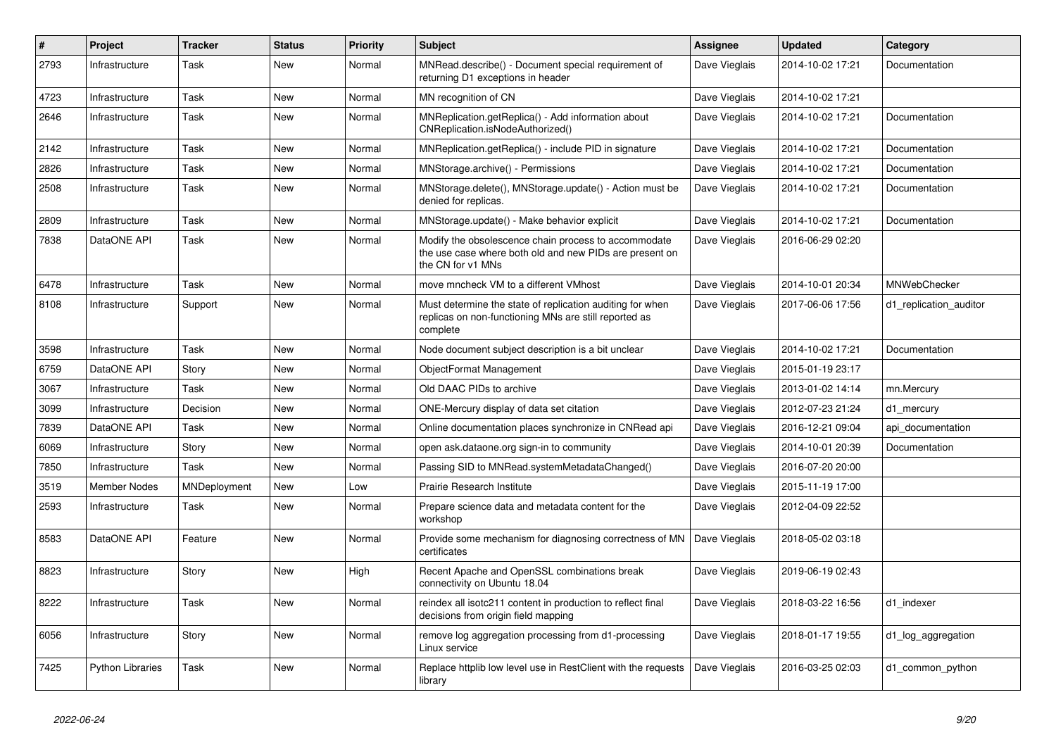| #    | Project                 | <b>Tracker</b> | <b>Status</b> | <b>Priority</b> | <b>Subject</b>                                                                                                                       | Assignee      | <b>Updated</b>   | Category               |
|------|-------------------------|----------------|---------------|-----------------|--------------------------------------------------------------------------------------------------------------------------------------|---------------|------------------|------------------------|
| 2793 | Infrastructure          | Task           | <b>New</b>    | Normal          | MNRead.describe() - Document special requirement of<br>returning D1 exceptions in header                                             | Dave Vieglais | 2014-10-02 17:21 | Documentation          |
| 4723 | Infrastructure          | Task           | <b>New</b>    | Normal          | MN recognition of CN                                                                                                                 | Dave Vieglais | 2014-10-02 17:21 |                        |
| 2646 | Infrastructure          | Task           | <b>New</b>    | Normal          | MNReplication.getReplica() - Add information about<br>CNReplication.isNodeAuthorized()                                               | Dave Vieglais | 2014-10-02 17:21 | Documentation          |
| 2142 | Infrastructure          | Task           | <b>New</b>    | Normal          | MNReplication.getReplica() - include PID in signature                                                                                | Dave Vieglais | 2014-10-02 17:21 | Documentation          |
| 2826 | Infrastructure          | Task           | <b>New</b>    | Normal          | MNStorage.archive() - Permissions                                                                                                    | Dave Vieglais | 2014-10-02 17:21 | Documentation          |
| 2508 | Infrastructure          | Task           | <b>New</b>    | Normal          | MNStorage.delete(), MNStorage.update() - Action must be<br>denied for replicas.                                                      | Dave Vieglais | 2014-10-02 17:21 | Documentation          |
| 2809 | Infrastructure          | Task           | <b>New</b>    | Normal          | MNStorage.update() - Make behavior explicit                                                                                          | Dave Vieglais | 2014-10-02 17:21 | Documentation          |
| 7838 | DataONE API             | Task           | <b>New</b>    | Normal          | Modify the obsolescence chain process to accommodate<br>the use case where both old and new PIDs are present on<br>the CN for v1 MNs | Dave Vieglais | 2016-06-29 02:20 |                        |
| 6478 | Infrastructure          | Task           | <b>New</b>    | Normal          | move mncheck VM to a different VMhost                                                                                                | Dave Vieglais | 2014-10-01 20:34 | MNWebChecker           |
| 8108 | Infrastructure          | Support        | <b>New</b>    | Normal          | Must determine the state of replication auditing for when<br>replicas on non-functioning MNs are still reported as<br>complete       | Dave Vieglais | 2017-06-06 17:56 | d1 replication auditor |
| 3598 | Infrastructure          | Task           | <b>New</b>    | Normal          | Node document subject description is a bit unclear                                                                                   | Dave Vieglais | 2014-10-02 17:21 | Documentation          |
| 6759 | DataONE API             | Story          | <b>New</b>    | Normal          | ObjectFormat Management                                                                                                              | Dave Vieglais | 2015-01-19 23:17 |                        |
| 3067 | Infrastructure          | Task           | <b>New</b>    | Normal          | Old DAAC PIDs to archive                                                                                                             | Dave Vieglais | 2013-01-02 14:14 | mn.Mercury             |
| 3099 | Infrastructure          | Decision       | <b>New</b>    | Normal          | ONE-Mercury display of data set citation                                                                                             | Dave Vieglais | 2012-07-23 21:24 | d1_mercury             |
| 7839 | DataONE API             | Task           | <b>New</b>    | Normal          | Online documentation places synchronize in CNRead api                                                                                | Dave Vieglais | 2016-12-21 09:04 | api documentation      |
| 6069 | Infrastructure          | Story          | <b>New</b>    | Normal          | open ask.dataone.org sign-in to community                                                                                            | Dave Vieglais | 2014-10-01 20:39 | Documentation          |
| 7850 | Infrastructure          | Task           | <b>New</b>    | Normal          | Passing SID to MNRead.systemMetadataChanged()                                                                                        | Dave Vieglais | 2016-07-20 20:00 |                        |
| 3519 | <b>Member Nodes</b>     | MNDeployment   | <b>New</b>    | Low             | Prairie Research Institute                                                                                                           | Dave Vieglais | 2015-11-19 17:00 |                        |
| 2593 | Infrastructure          | Task           | <b>New</b>    | Normal          | Prepare science data and metadata content for the<br>workshop                                                                        | Dave Vieglais | 2012-04-09 22:52 |                        |
| 8583 | DataONE API             | Feature        | New           | Normal          | Provide some mechanism for diagnosing correctness of MN<br>certificates                                                              | Dave Vieglais | 2018-05-02 03:18 |                        |
| 8823 | Infrastructure          | Story          | <b>New</b>    | High            | Recent Apache and OpenSSL combinations break<br>connectivity on Ubuntu 18.04                                                         | Dave Vieglais | 2019-06-19 02:43 |                        |
| 8222 | Infrastructure          | Task           | <b>New</b>    | Normal          | reindex all isotc211 content in production to reflect final<br>decisions from origin field mapping                                   | Dave Vieglais | 2018-03-22 16:56 | d1 indexer             |
| 6056 | Infrastructure          | Story          | <b>New</b>    | Normal          | remove log aggregation processing from d1-processing<br>Linux service                                                                | Dave Vieglais | 2018-01-17 19:55 | d1 log aggregation     |
| 7425 | <b>Python Libraries</b> | Task           | <b>New</b>    | Normal          | Replace httplib low level use in RestClient with the requests<br>library                                                             | Dave Vieglais | 2016-03-25 02:03 | d1 common python       |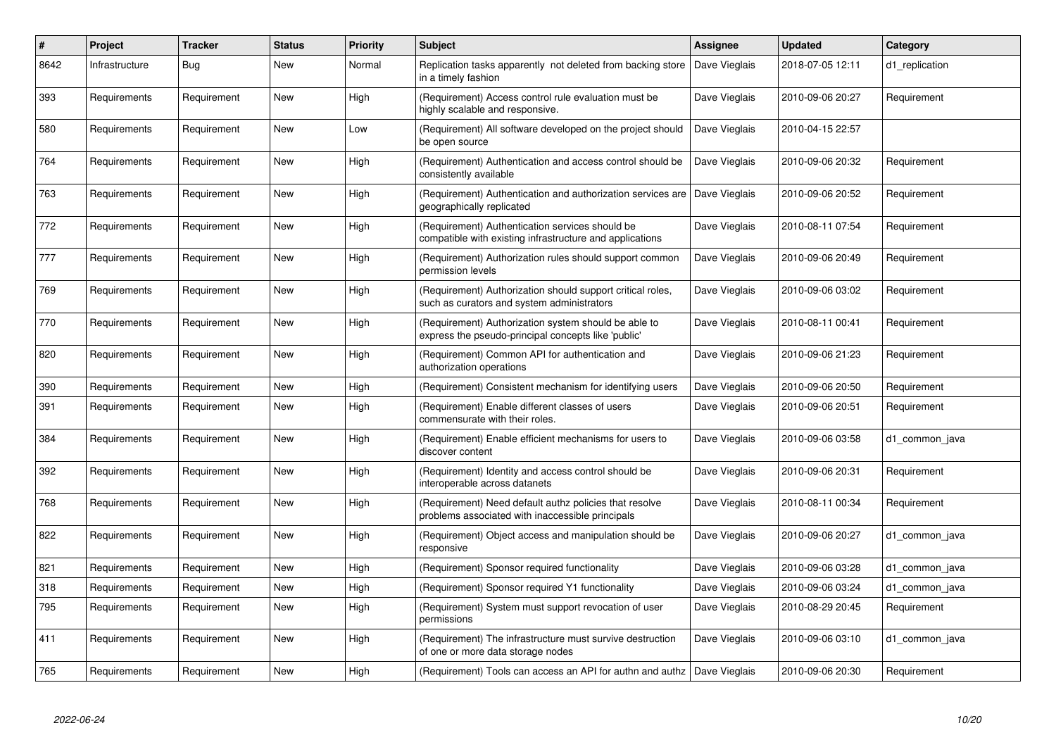| $\vert$ # | Project        | <b>Tracker</b> | <b>Status</b> | <b>Priority</b> | <b>Subject</b>                                                                                              | Assignee      | <b>Updated</b>   | Category       |
|-----------|----------------|----------------|---------------|-----------------|-------------------------------------------------------------------------------------------------------------|---------------|------------------|----------------|
| 8642      | Infrastructure | Bug            | New           | Normal          | Replication tasks apparently not deleted from backing store<br>in a timely fashion                          | Dave Vieglais | 2018-07-05 12:11 | d1 replication |
| 393       | Requirements   | Requirement    | New           | High            | (Requirement) Access control rule evaluation must be<br>highly scalable and responsive.                     | Dave Vieglais | 2010-09-06 20:27 | Requirement    |
| 580       | Requirements   | Requirement    | New           | Low             | (Requirement) All software developed on the project should<br>be open source                                | Dave Vieglais | 2010-04-15 22:57 |                |
| 764       | Requirements   | Requirement    | <b>New</b>    | High            | (Requirement) Authentication and access control should be<br>consistently available                         | Dave Vieglais | 2010-09-06 20:32 | Requirement    |
| 763       | Requirements   | Requirement    | <b>New</b>    | High            | (Requirement) Authentication and authorization services are<br>geographically replicated                    | Dave Vieglais | 2010-09-06 20:52 | Requirement    |
| 772       | Requirements   | Requirement    | New           | High            | (Requirement) Authentication services should be<br>compatible with existing infrastructure and applications | Dave Vieglais | 2010-08-11 07:54 | Requirement    |
| 777       | Requirements   | Requirement    | <b>New</b>    | High            | (Requirement) Authorization rules should support common<br>permission levels                                | Dave Vieglais | 2010-09-06 20:49 | Requirement    |
| 769       | Requirements   | Requirement    | <b>New</b>    | High            | (Requirement) Authorization should support critical roles,<br>such as curators and system administrators    | Dave Vieglais | 2010-09-06 03:02 | Requirement    |
| 770       | Requirements   | Requirement    | New           | High            | (Requirement) Authorization system should be able to<br>express the pseudo-principal concepts like 'public' | Dave Vieglais | 2010-08-11 00:41 | Requirement    |
| 820       | Requirements   | Requirement    | New           | High            | (Requirement) Common API for authentication and<br>authorization operations                                 | Dave Vieglais | 2010-09-06 21:23 | Requirement    |
| 390       | Requirements   | Requirement    | New           | High            | (Requirement) Consistent mechanism for identifying users                                                    | Dave Vieglais | 2010-09-06 20:50 | Requirement    |
| 391       | Requirements   | Requirement    | New           | High            | (Requirement) Enable different classes of users<br>commensurate with their roles.                           | Dave Vieglais | 2010-09-06 20:51 | Requirement    |
| 384       | Requirements   | Requirement    | New           | High            | (Requirement) Enable efficient mechanisms for users to<br>discover content                                  | Dave Vieglais | 2010-09-06 03:58 | d1 common java |
| 392       | Requirements   | Requirement    | New           | High            | (Requirement) Identity and access control should be<br>interoperable across datanets                        | Dave Vieglais | 2010-09-06 20:31 | Requirement    |
| 768       | Requirements   | Requirement    | New           | High            | (Requirement) Need default authz policies that resolve<br>problems associated with inaccessible principals  | Dave Vieglais | 2010-08-11 00:34 | Requirement    |
| 822       | Requirements   | Requirement    | New           | High            | (Requirement) Object access and manipulation should be<br>responsive                                        | Dave Vieglais | 2010-09-06 20:27 | d1_common_java |
| 821       | Requirements   | Requirement    | <b>New</b>    | High            | (Requirement) Sponsor required functionality                                                                | Dave Vieglais | 2010-09-06 03:28 | d1_common_java |
| 318       | Requirements   | Requirement    | New           | High            | (Requirement) Sponsor required Y1 functionality                                                             | Dave Vieglais | 2010-09-06 03:24 | d1 common java |
| 795       | Requirements   | Requirement    | New           | High            | (Requirement) System must support revocation of user<br>permissions                                         | Dave Vieglais | 2010-08-29 20:45 | Requirement    |
| 411       | Requirements   | Requirement    | New           | High            | (Requirement) The infrastructure must survive destruction<br>of one or more data storage nodes              | Dave Vieglais | 2010-09-06 03:10 | d1 common java |
| 765       | Requirements   | Requirement    | New           | High            | (Requirement) Tools can access an API for authn and authz   Dave Vieglais                                   |               | 2010-09-06 20:30 | Requirement    |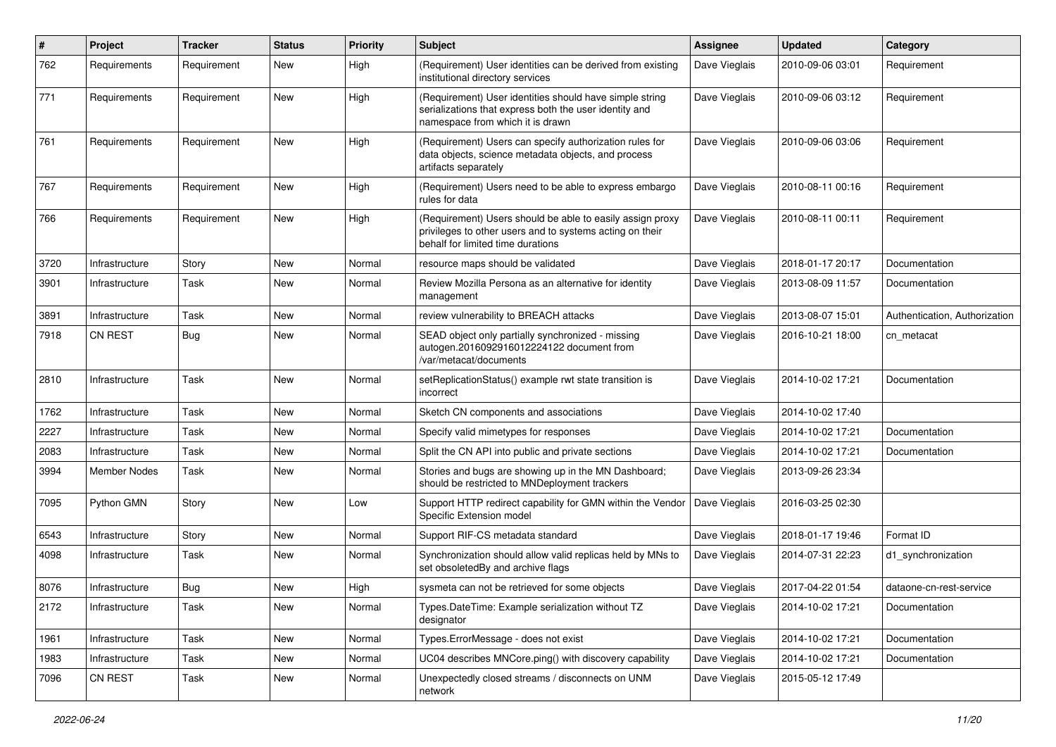| $\pmb{\#}$ | Project             | <b>Tracker</b> | <b>Status</b> | <b>Priority</b> | <b>Subject</b>                                                                                                                                             | <b>Assignee</b> | <b>Updated</b>   | Category                      |
|------------|---------------------|----------------|---------------|-----------------|------------------------------------------------------------------------------------------------------------------------------------------------------------|-----------------|------------------|-------------------------------|
| 762        | Requirements        | Requirement    | New           | High            | (Requirement) User identities can be derived from existing<br>institutional directory services                                                             | Dave Vieglais   | 2010-09-06 03:01 | Requirement                   |
| 771        | Requirements        | Requirement    | New           | High            | (Requirement) User identities should have simple string<br>serializations that express both the user identity and<br>namespace from which it is drawn      | Dave Vieglais   | 2010-09-06 03:12 | Requirement                   |
| 761        | Requirements        | Requirement    | New           | High            | (Requirement) Users can specify authorization rules for<br>data objects, science metadata objects, and process<br>artifacts separately                     | Dave Vieglais   | 2010-09-06 03:06 | Requirement                   |
| 767        | Requirements        | Requirement    | New           | High            | (Requirement) Users need to be able to express embargo<br>rules for data                                                                                   | Dave Vieglais   | 2010-08-11 00:16 | Requirement                   |
| 766        | Requirements        | Requirement    | New           | High            | (Requirement) Users should be able to easily assign proxy<br>privileges to other users and to systems acting on their<br>behalf for limited time durations | Dave Vieglais   | 2010-08-11 00:11 | Requirement                   |
| 3720       | Infrastructure      | Story          | New           | Normal          | resource maps should be validated                                                                                                                          | Dave Vieglais   | 2018-01-17 20:17 | Documentation                 |
| 3901       | Infrastructure      | Task           | New           | Normal          | Review Mozilla Persona as an alternative for identity<br>management                                                                                        | Dave Vieglais   | 2013-08-09 11:57 | Documentation                 |
| 3891       | Infrastructure      | Task           | New           | Normal          | review vulnerability to BREACH attacks                                                                                                                     | Dave Vieglais   | 2013-08-07 15:01 | Authentication, Authorization |
| 7918       | <b>CN REST</b>      | <b>Bug</b>     | New           | Normal          | SEAD object only partially synchronized - missing<br>autogen.2016092916012224122 document from<br>/var/metacat/documents                                   | Dave Vieglais   | 2016-10-21 18:00 | cn_metacat                    |
| 2810       | Infrastructure      | Task           | New           | Normal          | setReplicationStatus() example rwt state transition is<br>incorrect                                                                                        | Dave Vieglais   | 2014-10-02 17:21 | Documentation                 |
| 1762       | Infrastructure      | Task           | New           | Normal          | Sketch CN components and associations                                                                                                                      | Dave Vieglais   | 2014-10-02 17:40 |                               |
| 2227       | Infrastructure      | Task           | New           | Normal          | Specify valid mimetypes for responses                                                                                                                      | Dave Vieglais   | 2014-10-02 17:21 | Documentation                 |
| 2083       | Infrastructure      | Task           | New           | Normal          | Split the CN API into public and private sections                                                                                                          | Dave Vieglais   | 2014-10-02 17:21 | Documentation                 |
| 3994       | <b>Member Nodes</b> | Task           | New           | Normal          | Stories and bugs are showing up in the MN Dashboard;<br>should be restricted to MNDeployment trackers                                                      | Dave Vieglais   | 2013-09-26 23:34 |                               |
| 7095       | Python GMN          | Story          | New           | Low             | Support HTTP redirect capability for GMN within the Vendor<br>Specific Extension model                                                                     | Dave Vieglais   | 2016-03-25 02:30 |                               |
| 6543       | Infrastructure      | Story          | New           | Normal          | Support RIF-CS metadata standard                                                                                                                           | Dave Vieglais   | 2018-01-17 19:46 | Format ID                     |
| 4098       | Infrastructure      | Task           | New           | Normal          | Synchronization should allow valid replicas held by MNs to<br>set obsoletedBy and archive flags                                                            | Dave Vieglais   | 2014-07-31 22:23 | d1_synchronization            |
| 8076       | Infrastructure      | Bug            | New           | High            | sysmeta can not be retrieved for some objects                                                                                                              | Dave Vieglais   | 2017-04-22 01:54 | dataone-cn-rest-service       |
| 2172       | Infrastructure      | Task           | New           | Normal          | Types.DateTime: Example serialization without TZ<br>designator                                                                                             | Dave Vieglais   | 2014-10-02 17:21 | Documentation                 |
| 1961       | Infrastructure      | Task           | New           | Normal          | Types.ErrorMessage - does not exist                                                                                                                        | Dave Vieglais   | 2014-10-02 17:21 | Documentation                 |
| 1983       | Infrastructure      | Task           | New           | Normal          | UC04 describes MNCore.ping() with discovery capability                                                                                                     | Dave Vieglais   | 2014-10-02 17:21 | Documentation                 |
| 7096       | CN REST             | Task           | New           | Normal          | Unexpectedly closed streams / disconnects on UNM<br>network                                                                                                | Dave Vieglais   | 2015-05-12 17:49 |                               |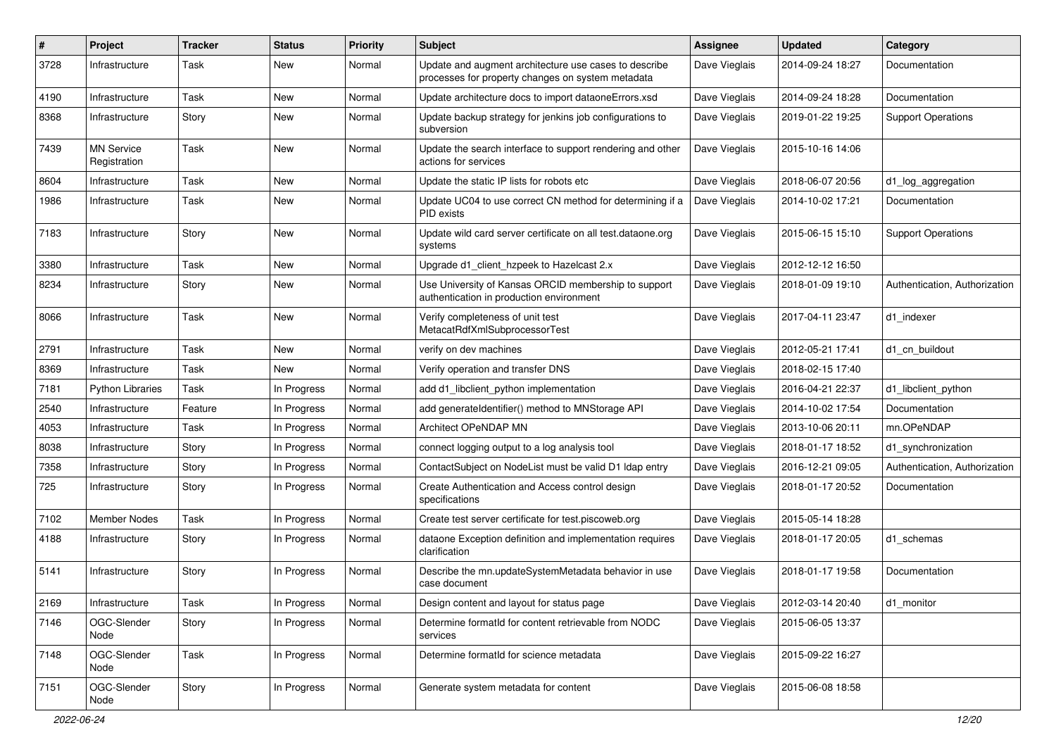| #    | Project                           | <b>Tracker</b> | <b>Status</b> | <b>Priority</b> | <b>Subject</b>                                                                                             | <b>Assignee</b> | <b>Updated</b>   | Category                      |
|------|-----------------------------------|----------------|---------------|-----------------|------------------------------------------------------------------------------------------------------------|-----------------|------------------|-------------------------------|
| 3728 | Infrastructure                    | Task           | New           | Normal          | Update and augment architecture use cases to describe<br>processes for property changes on system metadata | Dave Vieglais   | 2014-09-24 18:27 | Documentation                 |
| 4190 | Infrastructure                    | Task           | New           | Normal          | Update architecture docs to import dataoneErrors.xsd                                                       | Dave Vieglais   | 2014-09-24 18:28 | Documentation                 |
| 8368 | Infrastructure                    | Story          | <b>New</b>    | Normal          | Update backup strategy for jenkins job configurations to<br>subversion                                     | Dave Vieglais   | 2019-01-22 19:25 | <b>Support Operations</b>     |
| 7439 | <b>MN Service</b><br>Registration | Task           | New           | Normal          | Update the search interface to support rendering and other<br>actions for services                         | Dave Vieglais   | 2015-10-16 14:06 |                               |
| 8604 | Infrastructure                    | Task           | New           | Normal          | Update the static IP lists for robots etc                                                                  | Dave Vieglais   | 2018-06-07 20:56 | d1_log_aggregation            |
| 1986 | Infrastructure                    | Task           | New           | Normal          | Update UC04 to use correct CN method for determining if a<br>PID exists                                    | Dave Vieglais   | 2014-10-02 17:21 | Documentation                 |
| 7183 | Infrastructure                    | Story          | New           | Normal          | Update wild card server certificate on all test.dataone.org<br>systems                                     | Dave Vieglais   | 2015-06-15 15:10 | <b>Support Operations</b>     |
| 3380 | Infrastructure                    | Task           | <b>New</b>    | Normal          | Upgrade d1 client hzpeek to Hazelcast 2.x                                                                  | Dave Vieglais   | 2012-12-12 16:50 |                               |
| 8234 | Infrastructure                    | Story          | New           | Normal          | Use University of Kansas ORCID membership to support<br>authentication in production environment           | Dave Vieglais   | 2018-01-09 19:10 | Authentication, Authorization |
| 8066 | Infrastructure                    | Task           | New           | Normal          | Verify completeness of unit test<br>MetacatRdfXmlSubprocessorTest                                          | Dave Vieglais   | 2017-04-11 23:47 | d1_indexer                    |
| 2791 | Infrastructure                    | Task           | New           | Normal          | verify on dev machines                                                                                     | Dave Vieglais   | 2012-05-21 17:41 | d1_cn_buildout                |
| 8369 | Infrastructure                    | Task           | New           | Normal          | Verify operation and transfer DNS                                                                          | Dave Vieglais   | 2018-02-15 17:40 |                               |
| 7181 | <b>Python Libraries</b>           | Task           | In Progress   | Normal          | add d1_libclient_python implementation                                                                     | Dave Vieglais   | 2016-04-21 22:37 | d1_libclient_python           |
| 2540 | Infrastructure                    | Feature        | In Progress   | Normal          | add generateIdentifier() method to MNStorage API                                                           | Dave Vieglais   | 2014-10-02 17:54 | Documentation                 |
| 4053 | Infrastructure                    | Task           | In Progress   | Normal          | Architect OPeNDAP MN                                                                                       | Dave Vieglais   | 2013-10-06 20:11 | mn.OPeNDAP                    |
| 8038 | Infrastructure                    | Story          | In Progress   | Normal          | connect logging output to a log analysis tool                                                              | Dave Vieglais   | 2018-01-17 18:52 | d1_synchronization            |
| 7358 | Infrastructure                    | Story          | In Progress   | Normal          | ContactSubject on NodeList must be valid D1 Idap entry                                                     | Dave Vieglais   | 2016-12-21 09:05 | Authentication, Authorization |
| 725  | Infrastructure                    | Story          | In Progress   | Normal          | Create Authentication and Access control design<br>specifications                                          | Dave Vieglais   | 2018-01-17 20:52 | Documentation                 |
| 7102 | <b>Member Nodes</b>               | Task           | In Progress   | Normal          | Create test server certificate for test.piscoweb.org                                                       | Dave Vieglais   | 2015-05-14 18:28 |                               |
| 4188 | Infrastructure                    | Story          | In Progress   | Normal          | dataone Exception definition and implementation requires<br>clarification                                  | Dave Vieglais   | 2018-01-17 20:05 | d1 schemas                    |
| 5141 | Infrastructure                    | Story          | In Progress   | Normal          | Describe the mn.updateSystemMetadata behavior in use<br>case document                                      | Dave Vieglais   | 2018-01-17 19:58 | Documentation                 |
| 2169 | Infrastructure                    | Task           | In Progress   | Normal          | Design content and layout for status page                                                                  | Dave Vieglais   | 2012-03-14 20:40 | d1 monitor                    |
| 7146 | OGC-Slender<br>Node               | Story          | In Progress   | Normal          | Determine formatId for content retrievable from NODC<br>services                                           | Dave Vieglais   | 2015-06-05 13:37 |                               |
| 7148 | OGC-Slender<br>Node               | Task           | In Progress   | Normal          | Determine formatId for science metadata                                                                    | Dave Vieglais   | 2015-09-22 16:27 |                               |
| 7151 | OGC-Slender<br>Node               | Story          | In Progress   | Normal          | Generate system metadata for content                                                                       | Dave Vieglais   | 2015-06-08 18:58 |                               |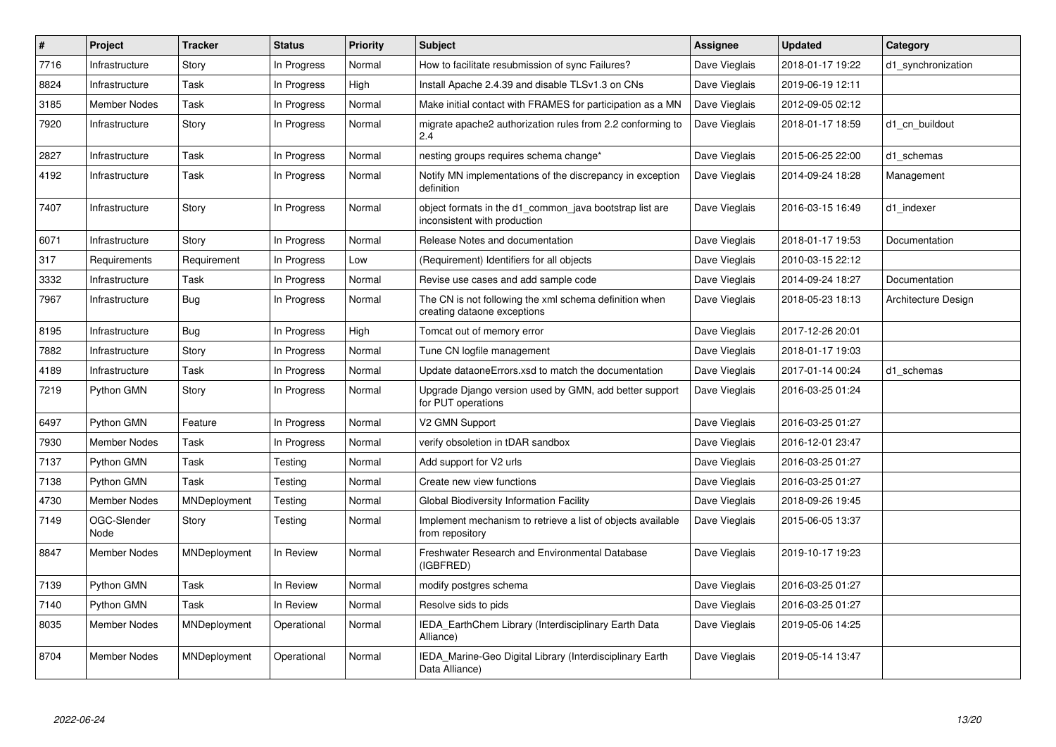| $\#$ | Project             | <b>Tracker</b> | <b>Status</b> | <b>Priority</b> | <b>Subject</b>                                                                          | <b>Assignee</b> | <b>Updated</b>   | Category            |
|------|---------------------|----------------|---------------|-----------------|-----------------------------------------------------------------------------------------|-----------------|------------------|---------------------|
| 7716 | Infrastructure      | Story          | In Progress   | Normal          | How to facilitate resubmission of sync Failures?                                        | Dave Vieglais   | 2018-01-17 19:22 | d1 synchronization  |
| 8824 | Infrastructure      | Task           | In Progress   | High            | Install Apache 2.4.39 and disable TLSv1.3 on CNs                                        | Dave Vieglais   | 2019-06-19 12:11 |                     |
| 3185 | <b>Member Nodes</b> | Task           | In Progress   | Normal          | Make initial contact with FRAMES for participation as a MN                              | Dave Vieglais   | 2012-09-05 02:12 |                     |
| 7920 | Infrastructure      | Story          | In Progress   | Normal          | migrate apache2 authorization rules from 2.2 conforming to<br>2.4                       | Dave Vieglais   | 2018-01-17 18:59 | d1 cn buildout      |
| 2827 | Infrastructure      | Task           | In Progress   | Normal          | nesting groups requires schema change*                                                  | Dave Vieglais   | 2015-06-25 22:00 | d1 schemas          |
| 4192 | Infrastructure      | Task           | In Progress   | Normal          | Notify MN implementations of the discrepancy in exception<br>definition                 | Dave Vieglais   | 2014-09-24 18:28 | Management          |
| 7407 | Infrastructure      | Story          | In Progress   | Normal          | object formats in the d1 common java bootstrap list are<br>inconsistent with production | Dave Vieglais   | 2016-03-15 16:49 | d1 indexer          |
| 6071 | Infrastructure      | Story          | In Progress   | Normal          | Release Notes and documentation                                                         | Dave Vieglais   | 2018-01-17 19:53 | Documentation       |
| 317  | Requirements        | Requirement    | In Progress   | Low             | (Requirement) Identifiers for all objects                                               | Dave Vieglais   | 2010-03-15 22:12 |                     |
| 3332 | Infrastructure      | Task           | In Progress   | Normal          | Revise use cases and add sample code                                                    | Dave Vieglais   | 2014-09-24 18:27 | Documentation       |
| 7967 | Infrastructure      | Bug            | In Progress   | Normal          | The CN is not following the xml schema definition when<br>creating dataone exceptions   | Dave Vieglais   | 2018-05-23 18:13 | Architecture Design |
| 8195 | Infrastructure      | Bug            | In Progress   | High            | Tomcat out of memory error                                                              | Dave Vieglais   | 2017-12-26 20:01 |                     |
| 7882 | Infrastructure      | Story          | In Progress   | Normal          | Tune CN logfile management                                                              | Dave Vieglais   | 2018-01-17 19:03 |                     |
| 4189 | Infrastructure      | Task           | In Progress   | Normal          | Update dataone Errors xsd to match the documentation                                    | Dave Vieglais   | 2017-01-14 00:24 | d1_schemas          |
| 7219 | Python GMN          | Story          | In Progress   | Normal          | Upgrade Django version used by GMN, add better support<br>for PUT operations            | Dave Vieglais   | 2016-03-25 01:24 |                     |
| 6497 | Python GMN          | Feature        | In Progress   | Normal          | V2 GMN Support                                                                          | Dave Vieglais   | 2016-03-25 01:27 |                     |
| 7930 | Member Nodes        | Task           | In Progress   | Normal          | verify obsoletion in tDAR sandbox                                                       | Dave Vieglais   | 2016-12-01 23:47 |                     |
| 7137 | Python GMN          | Task           | Testing       | Normal          | Add support for V2 urls                                                                 | Dave Vieglais   | 2016-03-25 01:27 |                     |
| 7138 | Python GMN          | Task           | Testing       | Normal          | Create new view functions                                                               | Dave Vieglais   | 2016-03-25 01:27 |                     |
| 4730 | <b>Member Nodes</b> | MNDeployment   | Testing       | Normal          | Global Biodiversity Information Facility                                                | Dave Vieglais   | 2018-09-26 19:45 |                     |
| 7149 | OGC-Slender<br>Node | Story          | Testing       | Normal          | Implement mechanism to retrieve a list of objects available<br>from repository          | Dave Vieglais   | 2015-06-05 13:37 |                     |
| 8847 | Member Nodes        | MNDeployment   | In Review     | Normal          | Freshwater Research and Environmental Database<br>(IGBFRED)                             | Dave Vieglais   | 2019-10-17 19:23 |                     |
| 7139 | Python GMN          | Task           | In Review     | Normal          | modify postgres schema                                                                  | Dave Vieglais   | 2016-03-25 01:27 |                     |
| 7140 | Python GMN          | Task           | In Review     | Normal          | Resolve sids to pids                                                                    | Dave Vieglais   | 2016-03-25 01:27 |                     |
| 8035 | Member Nodes        | MNDeployment   | Operational   | Normal          | IEDA_EarthChem Library (Interdisciplinary Earth Data<br>Alliance)                       | Dave Vieglais   | 2019-05-06 14:25 |                     |
| 8704 | Member Nodes        | MNDeployment   | Operational   | Normal          | EDA Marine-Geo Digital Library (Interdisciplinary Earth<br>Data Alliance)               | Dave Vieglais   | 2019-05-14 13:47 |                     |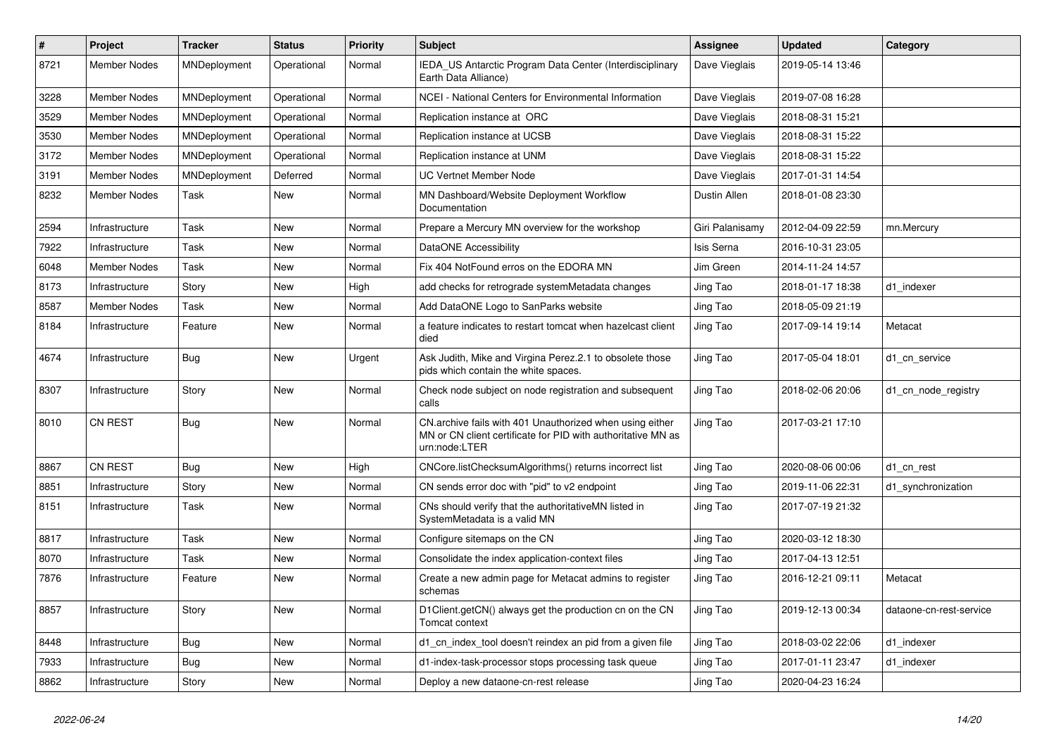| #    | Project             | <b>Tracker</b> | <b>Status</b> | <b>Priority</b> | Subject                                                                                                                                   | <b>Assignee</b> | <b>Updated</b>   | Category                |
|------|---------------------|----------------|---------------|-----------------|-------------------------------------------------------------------------------------------------------------------------------------------|-----------------|------------------|-------------------------|
| 8721 | <b>Member Nodes</b> | MNDeployment   | Operational   | Normal          | IEDA_US Antarctic Program Data Center (Interdisciplinary<br>Earth Data Alliance)                                                          | Dave Vieglais   | 2019-05-14 13:46 |                         |
| 3228 | <b>Member Nodes</b> | MNDeployment   | Operational   | Normal          | NCEI - National Centers for Environmental Information                                                                                     | Dave Vieglais   | 2019-07-08 16:28 |                         |
| 3529 | Member Nodes        | MNDeployment   | Operational   | Normal          | Replication instance at ORC                                                                                                               | Dave Vieglais   | 2018-08-31 15:21 |                         |
| 3530 | Member Nodes        | MNDeployment   | Operational   | Normal          | Replication instance at UCSB                                                                                                              | Dave Vieglais   | 2018-08-31 15:22 |                         |
| 3172 | Member Nodes        | MNDeployment   | Operational   | Normal          | Replication instance at UNM                                                                                                               | Dave Vieglais   | 2018-08-31 15:22 |                         |
| 3191 | <b>Member Nodes</b> | MNDeployment   | Deferred      | Normal          | <b>UC Vertnet Member Node</b>                                                                                                             | Dave Vieglais   | 2017-01-31 14:54 |                         |
| 8232 | Member Nodes        | Task           | New           | Normal          | MN Dashboard/Website Deployment Workflow<br>Documentation                                                                                 | Dustin Allen    | 2018-01-08 23:30 |                         |
| 2594 | Infrastructure      | Task           | <b>New</b>    | Normal          | Prepare a Mercury MN overview for the workshop                                                                                            | Giri Palanisamy | 2012-04-09 22:59 | mn.Mercury              |
| 7922 | Infrastructure      | Task           | New           | Normal          | <b>DataONE Accessibility</b>                                                                                                              | Isis Serna      | 2016-10-31 23:05 |                         |
| 6048 | <b>Member Nodes</b> | Task           | New           | Normal          | Fix 404 NotFound erros on the EDORA MN                                                                                                    | Jim Green       | 2014-11-24 14:57 |                         |
| 8173 | Infrastructure      | Story          | New           | High            | add checks for retrograde systemMetadata changes                                                                                          | Jing Tao        | 2018-01-17 18:38 | d1_indexer              |
| 8587 | <b>Member Nodes</b> | Task           | New           | Normal          | Add DataONE Logo to SanParks website                                                                                                      | Jing Tao        | 2018-05-09 21:19 |                         |
| 8184 | Infrastructure      | Feature        | New           | Normal          | a feature indicates to restart tomcat when hazelcast client<br>died                                                                       | Jing Tao        | 2017-09-14 19:14 | Metacat                 |
| 4674 | Infrastructure      | <b>Bug</b>     | New           | Urgent          | Ask Judith, Mike and Virgina Perez.2.1 to obsolete those<br>pids which contain the white spaces.                                          | Jing Tao        | 2017-05-04 18:01 | d1 cn service           |
| 8307 | Infrastructure      | Story          | <b>New</b>    | Normal          | Check node subject on node registration and subsequent<br>calls                                                                           | Jing Tao        | 2018-02-06 20:06 | d1_cn_node_registry     |
| 8010 | <b>CN REST</b>      | <b>Bug</b>     | <b>New</b>    | Normal          | CN.archive fails with 401 Unauthorized when using either<br>MN or CN client certificate for PID with authoritative MN as<br>urn:node:LTER | Jing Tao        | 2017-03-21 17:10 |                         |
| 8867 | CN REST             | <b>Bug</b>     | <b>New</b>    | High            | CNCore.listChecksumAlgorithms() returns incorrect list                                                                                    | Jing Tao        | 2020-08-06 00:06 | d1 cn rest              |
| 8851 | Infrastructure      | Story          | New           | Normal          | CN sends error doc with "pid" to v2 endpoint                                                                                              | Jing Tao        | 2019-11-06 22:31 | d1_synchronization      |
| 8151 | Infrastructure      | Task           | New           | Normal          | CNs should verify that the authoritativeMN listed in<br>SystemMetadata is a valid MN                                                      | Jing Tao        | 2017-07-19 21:32 |                         |
| 8817 | Infrastructure      | Task           | <b>New</b>    | Normal          | Configure sitemaps on the CN                                                                                                              | Jing Tao        | 2020-03-12 18:30 |                         |
| 8070 | Infrastructure      | Task           | New           | Normal          | Consolidate the index application-context files                                                                                           | Jing Tao        | 2017-04-13 12:51 |                         |
| 7876 | Infrastructure      | Feature        | New           | Normal          | Create a new admin page for Metacat admins to register<br>schemas                                                                         | Jing Tao        | 2016-12-21 09:11 | Metacat                 |
| 8857 | Infrastructure      | Story          | New           | Normal          | D1Client.getCN() always get the production cn on the CN<br>Tomcat context                                                                 | Jing Tao        | 2019-12-13 00:34 | dataone-cn-rest-service |
| 8448 | Infrastructure      | <b>Bug</b>     | New           | Normal          | d1 cn index tool doesn't reindex an pid from a given file                                                                                 | Jing Tao        | 2018-03-02 22:06 | d1_indexer              |
| 7933 | Infrastructure      | <b>Bug</b>     | New           | Normal          | d1-index-task-processor stops processing task queue                                                                                       | Jing Tao        | 2017-01-11 23:47 | d1_indexer              |
| 8862 | Infrastructure      | Story          | New           | Normal          | Deploy a new dataone-cn-rest release                                                                                                      | Jing Tao        | 2020-04-23 16:24 |                         |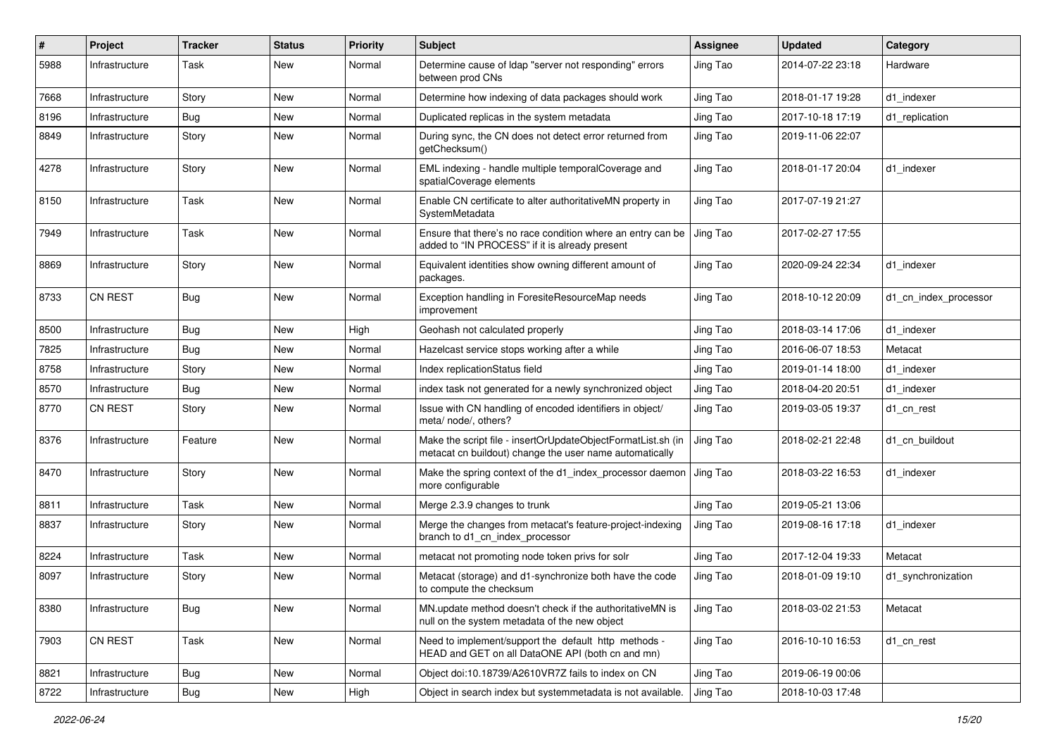| #    | Project        | <b>Tracker</b> | <b>Status</b> | <b>Priority</b> | <b>Subject</b>                                                                                                          | <b>Assignee</b> | <b>Updated</b>   | Category              |
|------|----------------|----------------|---------------|-----------------|-------------------------------------------------------------------------------------------------------------------------|-----------------|------------------|-----------------------|
| 5988 | Infrastructure | Task           | New           | Normal          | Determine cause of Idap "server not responding" errors<br>between prod CNs                                              | Jing Tao        | 2014-07-22 23:18 | Hardware              |
| 7668 | Infrastructure | Story          | New           | Normal          | Determine how indexing of data packages should work                                                                     | Jing Tao        | 2018-01-17 19:28 | d1 indexer            |
| 8196 | Infrastructure | Bug            | New           | Normal          | Duplicated replicas in the system metadata                                                                              | Jing Tao        | 2017-10-18 17:19 | d1 replication        |
| 8849 | Infrastructure | Story          | New           | Normal          | During sync, the CN does not detect error returned from<br>getChecksum()                                                | Jing Tao        | 2019-11-06 22:07 |                       |
| 4278 | Infrastructure | Story          | New           | Normal          | EML indexing - handle multiple temporalCoverage and<br>spatialCoverage elements                                         | Jing Tao        | 2018-01-17 20:04 | d1 indexer            |
| 8150 | Infrastructure | Task           | New           | Normal          | Enable CN certificate to alter authoritativeMN property in<br>SystemMetadata                                            | Jing Tao        | 2017-07-19 21:27 |                       |
| 7949 | Infrastructure | Task           | New           | Normal          | Ensure that there's no race condition where an entry can be<br>added to "IN PROCESS" if it is already present           | Jing Tao        | 2017-02-27 17:55 |                       |
| 8869 | Infrastructure | Story          | New           | Normal          | Equivalent identities show owning different amount of<br>packages.                                                      | Jing Tao        | 2020-09-24 22:34 | d1_indexer            |
| 8733 | CN REST        | <b>Bug</b>     | New           | Normal          | Exception handling in ForesiteResourceMap needs<br>improvement                                                          | Jing Tao        | 2018-10-12 20:09 | d1 cn index processor |
| 8500 | Infrastructure | <b>Bug</b>     | New           | High            | Geohash not calculated properly                                                                                         | Jing Tao        | 2018-03-14 17:06 | d1_indexer            |
| 7825 | Infrastructure | <b>Bug</b>     | New           | Normal          | Hazelcast service stops working after a while                                                                           | Jing Tao        | 2016-06-07 18:53 | Metacat               |
| 8758 | Infrastructure | Story          | New           | Normal          | Index replicationStatus field                                                                                           | Jing Tao        | 2019-01-14 18:00 | d1 indexer            |
| 8570 | Infrastructure | Bug            | New           | Normal          | index task not generated for a newly synchronized object                                                                | Jing Tao        | 2018-04-20 20:51 | d1 indexer            |
| 8770 | <b>CN REST</b> | Story          | New           | Normal          | Issue with CN handling of encoded identifiers in object/<br>meta/ node/, others?                                        | Jing Tao        | 2019-03-05 19:37 | d1 cn rest            |
| 8376 | Infrastructure | Feature        | New           | Normal          | Make the script file - insertOrUpdateObjectFormatList.sh (in<br>metacat cn buildout) change the user name automatically | Jing Tao        | 2018-02-21 22:48 | d1 cn buildout        |
| 8470 | Infrastructure | Story          | New           | Normal          | Make the spring context of the d1 index processor daemon<br>more configurable                                           | Jing Tao        | 2018-03-22 16:53 | d1 indexer            |
| 8811 | Infrastructure | Task           | New           | Normal          | Merge 2.3.9 changes to trunk                                                                                            | Jing Tao        | 2019-05-21 13:06 |                       |
| 8837 | Infrastructure | Story          | New           | Normal          | Merge the changes from metacat's feature-project-indexing<br>branch to d1_cn_index_processor                            | Jing Tao        | 2019-08-16 17:18 | d1 indexer            |
| 8224 | Infrastructure | Task           | New           | Normal          | metacat not promoting node token privs for solr                                                                         | Jing Tao        | 2017-12-04 19:33 | Metacat               |
| 8097 | Infrastructure | Story          | New           | Normal          | Metacat (storage) and d1-synchronize both have the code<br>to compute the checksum                                      | Jing Tao        | 2018-01-09 19:10 | d1 synchronization    |
| 8380 | Infrastructure | <b>Bug</b>     | New           | Normal          | MN.update method doesn't check if the authoritativeMN is<br>null on the system metadata of the new object               | Jing Tao        | 2018-03-02 21:53 | Metacat               |
| 7903 | CN REST        | Task           | New           | Normal          | Need to implement/support the default http methods -<br>HEAD and GET on all DataONE API (both cn and mn)                | Jing Tao        | 2016-10-10 16:53 | d1_cn_rest            |
| 8821 | Infrastructure | <b>Bug</b>     | New           | Normal          | Object doi:10.18739/A2610VR7Z fails to index on CN                                                                      | Jing Tao        | 2019-06-19 00:06 |                       |
| 8722 | Infrastructure | <b>Bug</b>     | New           | High            | Object in search index but systemmetadata is not available.                                                             | Jing Tao        | 2018-10-03 17:48 |                       |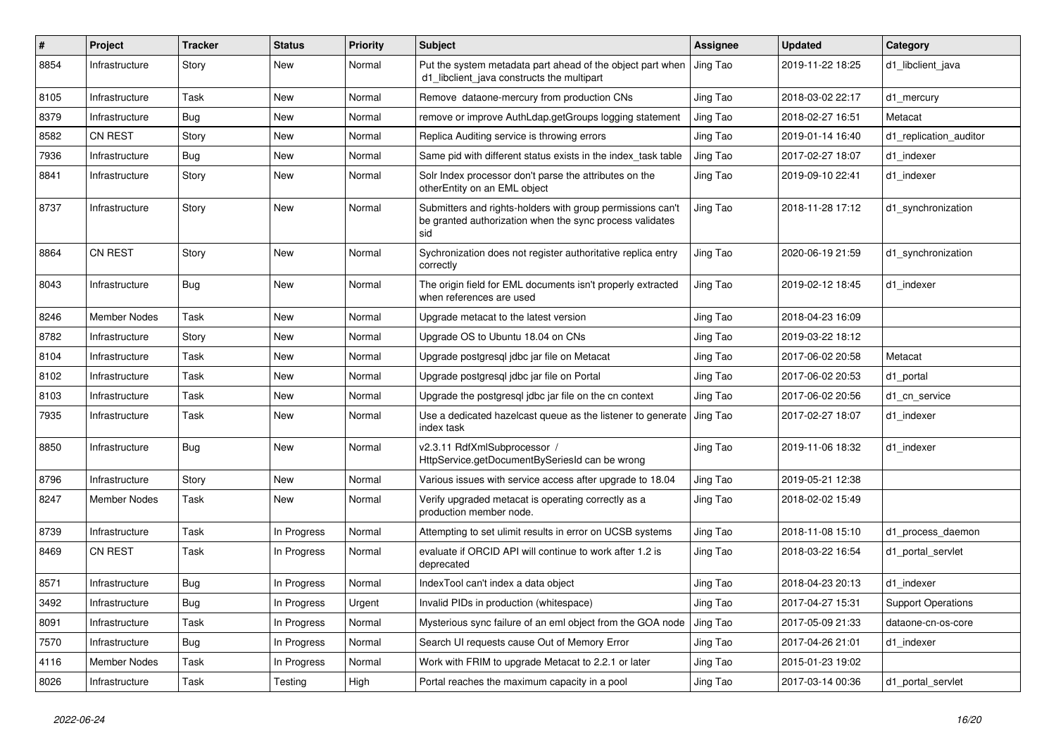| #    | Project             | <b>Tracker</b> | <b>Status</b> | <b>Priority</b> | <b>Subject</b>                                                                                                                | Assignee | <b>Updated</b>   | Category                  |
|------|---------------------|----------------|---------------|-----------------|-------------------------------------------------------------------------------------------------------------------------------|----------|------------------|---------------------------|
| 8854 | Infrastructure      | Story          | New           | Normal          | Put the system metadata part ahead of the object part when<br>d1 libclient java constructs the multipart                      | Jing Tao | 2019-11-22 18:25 | d1_libclient_java         |
| 8105 | Infrastructure      | Task           | New           | Normal          | Remove dataone-mercury from production CNs                                                                                    | Jing Tao | 2018-03-02 22:17 | d1 mercury                |
| 8379 | Infrastructure      | <b>Bug</b>     | New           | Normal          | remove or improve AuthLdap.getGroups logging statement                                                                        | Jing Tao | 2018-02-27 16:51 | Metacat                   |
| 8582 | <b>CN REST</b>      | Story          | New           | Normal          | Replica Auditing service is throwing errors                                                                                   | Jing Tao | 2019-01-14 16:40 | d1 replication auditor    |
| 7936 | Infrastructure      | <b>Bug</b>     | New           | Normal          | Same pid with different status exists in the index task table                                                                 | Jing Tao | 2017-02-27 18:07 | d1 indexer                |
| 8841 | Infrastructure      | Story          | New           | Normal          | Solr Index processor don't parse the attributes on the<br>otherEntity on an EML object                                        | Jing Tao | 2019-09-10 22:41 | d1_indexer                |
| 8737 | Infrastructure      | Story          | New           | Normal          | Submitters and rights-holders with group permissions can't<br>be granted authorization when the sync process validates<br>sid | Jing Tao | 2018-11-28 17:12 | d1_synchronization        |
| 8864 | <b>CN REST</b>      | Story          | New           | Normal          | Sychronization does not register authoritative replica entry<br>correctly                                                     | Jing Tao | 2020-06-19 21:59 | d1 synchronization        |
| 8043 | Infrastructure      | <b>Bug</b>     | New           | Normal          | The origin field for EML documents isn't properly extracted<br>when references are used                                       | Jing Tao | 2019-02-12 18:45 | d1 indexer                |
| 8246 | Member Nodes        | Task           | New           | Normal          | Upgrade metacat to the latest version                                                                                         | Jing Tao | 2018-04-23 16:09 |                           |
| 8782 | Infrastructure      | Story          | New           | Normal          | Upgrade OS to Ubuntu 18.04 on CNs                                                                                             | Jing Tao | 2019-03-22 18:12 |                           |
| 8104 | Infrastructure      | Task           | New           | Normal          | Upgrade postgresgl jdbc jar file on Metacat                                                                                   | Jing Tao | 2017-06-02 20:58 | Metacat                   |
| 8102 | Infrastructure      | Task           | New           | Normal          | Upgrade postgresgl jdbc jar file on Portal                                                                                    | Jing Tao | 2017-06-02 20:53 | d1 portal                 |
| 8103 | Infrastructure      | Task           | New           | Normal          | Upgrade the postgresql jdbc jar file on the cn context                                                                        | Jing Tao | 2017-06-02 20:56 | d1 cn service             |
| 7935 | Infrastructure      | Task           | New           | Normal          | Use a dedicated hazelcast queue as the listener to generate<br>index task                                                     | Jing Tao | 2017-02-27 18:07 | d1 indexer                |
| 8850 | Infrastructure      | <b>Bug</b>     | New           | Normal          | v2.3.11 RdfXmlSubprocessor /<br>HttpService.getDocumentBySeriesId can be wrong                                                | Jing Tao | 2019-11-06 18:32 | d1 indexer                |
| 8796 | Infrastructure      | Story          | <b>New</b>    | Normal          | Various issues with service access after upgrade to 18.04                                                                     | Jing Tao | 2019-05-21 12:38 |                           |
| 8247 | Member Nodes        | Task           | New           | Normal          | Verify upgraded metacat is operating correctly as a<br>production member node.                                                | Jing Tao | 2018-02-02 15:49 |                           |
| 8739 | Infrastructure      | Task           | In Progress   | Normal          | Attempting to set ulimit results in error on UCSB systems                                                                     | Jing Tao | 2018-11-08 15:10 | d1 process daemon         |
| 8469 | <b>CN REST</b>      | Task           | In Progress   | Normal          | evaluate if ORCID API will continue to work after 1.2 is<br>deprecated                                                        | Jing Tao | 2018-03-22 16:54 | d1 portal servlet         |
| 8571 | Infrastructure      | <b>Bug</b>     | In Progress   | Normal          | IndexTool can't index a data object                                                                                           | Jing Tao | 2018-04-23 20:13 | d1 indexer                |
| 3492 | Infrastructure      | <b>Bug</b>     | In Progress   | Urgent          | Invalid PIDs in production (whitespace)                                                                                       | Jing Tao | 2017-04-27 15:31 | <b>Support Operations</b> |
| 8091 | Infrastructure      | Task           | In Progress   | Normal          | Mysterious sync failure of an eml object from the GOA node                                                                    | Jing Tao | 2017-05-09 21:33 | dataone-cn-os-core        |
| 7570 | Infrastructure      | Bug            | In Progress   | Normal          | Search UI requests cause Out of Memory Error                                                                                  | Jing Tao | 2017-04-26 21:01 | d1 indexer                |
| 4116 | <b>Member Nodes</b> | Task           | In Progress   | Normal          | Work with FRIM to upgrade Metacat to 2.2.1 or later                                                                           | Jing Tao | 2015-01-23 19:02 |                           |
| 8026 | Infrastructure      | Task           | Testing       | High            | Portal reaches the maximum capacity in a pool                                                                                 | Jing Tao | 2017-03-14 00:36 | d1 portal servlet         |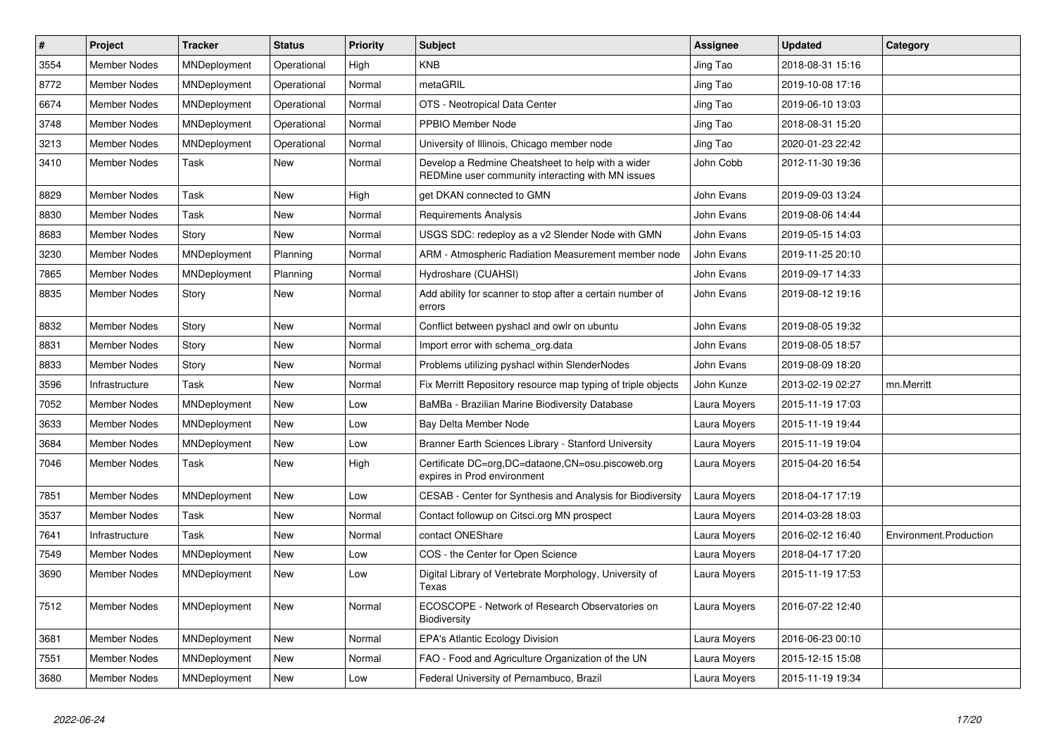| $\vert$ # | <b>Project</b>      | <b>Tracker</b>      | <b>Status</b> | Priority | <b>Subject</b>                                                                                         | Assignee     | <b>Updated</b>   | Category               |
|-----------|---------------------|---------------------|---------------|----------|--------------------------------------------------------------------------------------------------------|--------------|------------------|------------------------|
| 3554      | <b>Member Nodes</b> | MNDeployment        | Operational   | High     | <b>KNB</b>                                                                                             | Jing Tao     | 2018-08-31 15:16 |                        |
| 8772      | Member Nodes        | MNDeployment        | Operational   | Normal   | metaGRIL                                                                                               | Jing Tao     | 2019-10-08 17:16 |                        |
| 6674      | Member Nodes        | MNDeployment        | Operational   | Normal   | OTS - Neotropical Data Center                                                                          | Jing Tao     | 2019-06-10 13:03 |                        |
| 3748      | Member Nodes        | MNDeployment        | Operational   | Normal   | PPBIO Member Node                                                                                      | Jing Tao     | 2018-08-31 15:20 |                        |
| 3213      | <b>Member Nodes</b> | MNDeployment        | Operational   | Normal   | University of Illinois, Chicago member node                                                            | Jing Tao     | 2020-01-23 22:42 |                        |
| 3410      | Member Nodes        | Task                | <b>New</b>    | Normal   | Develop a Redmine Cheatsheet to help with a wider<br>REDMine user community interacting with MN issues | John Cobb    | 2012-11-30 19:36 |                        |
| 8829      | <b>Member Nodes</b> | Task                | New           | High     | get DKAN connected to GMN                                                                              | John Evans   | 2019-09-03 13:24 |                        |
| 8830      | Member Nodes        | Task                | <b>New</b>    | Normal   | <b>Requirements Analysis</b>                                                                           | John Evans   | 2019-08-06 14:44 |                        |
| 8683      | Member Nodes        | Story               | <b>New</b>    | Normal   | USGS SDC: redeploy as a v2 Slender Node with GMN                                                       | John Evans   | 2019-05-15 14:03 |                        |
| 3230      | Member Nodes        | MNDeployment        | Planning      | Normal   | ARM - Atmospheric Radiation Measurement member node                                                    | John Evans   | 2019-11-25 20:10 |                        |
| 7865      | Member Nodes        | MNDeployment        | Planning      | Normal   | Hydroshare (CUAHSI)                                                                                    | John Evans   | 2019-09-17 14:33 |                        |
| 8835      | Member Nodes        | Story               | New           | Normal   | Add ability for scanner to stop after a certain number of<br>errors                                    | John Evans   | 2019-08-12 19:16 |                        |
| 8832      | Member Nodes        | Story               | <b>New</b>    | Normal   | Conflict between pyshacl and owlr on ubuntu                                                            | John Evans   | 2019-08-05 19:32 |                        |
| 8831      | <b>Member Nodes</b> | Story               | New           | Normal   | Import error with schema org.data                                                                      | John Evans   | 2019-08-05 18:57 |                        |
| 8833      | Member Nodes        | Story               | <b>New</b>    | Normal   | Problems utilizing pyshacl within SlenderNodes                                                         | John Evans   | 2019-08-09 18:20 |                        |
| 3596      | Infrastructure      | Task                | New           | Normal   | Fix Merritt Repository resource map typing of triple objects                                           | John Kunze   | 2013-02-19 02:27 | mn.Merritt             |
| 7052      | Member Nodes        | MNDeployment        | New           | Low      | BaMBa - Brazilian Marine Biodiversity Database                                                         | Laura Moyers | 2015-11-19 17:03 |                        |
| 3633      | <b>Member Nodes</b> | MNDeployment        | <b>New</b>    | Low      | Bay Delta Member Node                                                                                  | Laura Moyers | 2015-11-19 19:44 |                        |
| 3684      | Member Nodes        | MNDeployment        | <b>New</b>    | Low      | Branner Earth Sciences Library - Stanford University                                                   | Laura Moyers | 2015-11-19 19:04 |                        |
| 7046      | <b>Member Nodes</b> | Task                | New           | High     | Certificate DC=org, DC=dataone, CN=osu.piscoweb.org<br>expires in Prod environment                     | Laura Moyers | 2015-04-20 16:54 |                        |
| 7851      | <b>Member Nodes</b> | MNDeployment        | <b>New</b>    | Low      | CESAB - Center for Synthesis and Analysis for Biodiversity                                             | Laura Moyers | 2018-04-17 17:19 |                        |
| 3537      | <b>Member Nodes</b> | Task                | <b>New</b>    | Normal   | Contact followup on Citsci.org MN prospect                                                             | Laura Moyers | 2014-03-28 18:03 |                        |
| 7641      | Infrastructure      | Task                | <b>New</b>    | Normal   | contact ONEShare                                                                                       | Laura Moyers | 2016-02-12 16:40 | Environment.Production |
| 7549      | <b>Member Nodes</b> | MNDeployment        | New           | Low      | COS - the Center for Open Science                                                                      | Laura Moyers | 2018-04-17 17:20 |                        |
| 3690      | Member Nodes        | MNDeployment        | New           | Low      | Digital Library of Vertebrate Morphology, University of<br>Texas                                       | Laura Moyers | 2015-11-19 17:53 |                        |
| 7512      | Member Nodes        | MNDeployment        | New           | Normal   | ECOSCOPE - Network of Research Observatories on<br>Biodiversity                                        | Laura Moyers | 2016-07-22 12:40 |                        |
| 3681      | <b>Member Nodes</b> | MNDeployment        | <b>New</b>    | Normal   | <b>EPA's Atlantic Ecology Division</b>                                                                 | Laura Moyers | 2016-06-23 00:10 |                        |
| 7551      | Member Nodes        | MNDeployment        | New           | Normal   | FAO - Food and Agriculture Organization of the UN                                                      | Laura Moyers | 2015-12-15 15:08 |                        |
| 3680      | <b>Member Nodes</b> | <b>MNDeployment</b> | <b>New</b>    | Low      | Federal University of Pernambuco, Brazil                                                               | Laura Moyers | 2015-11-19 19:34 |                        |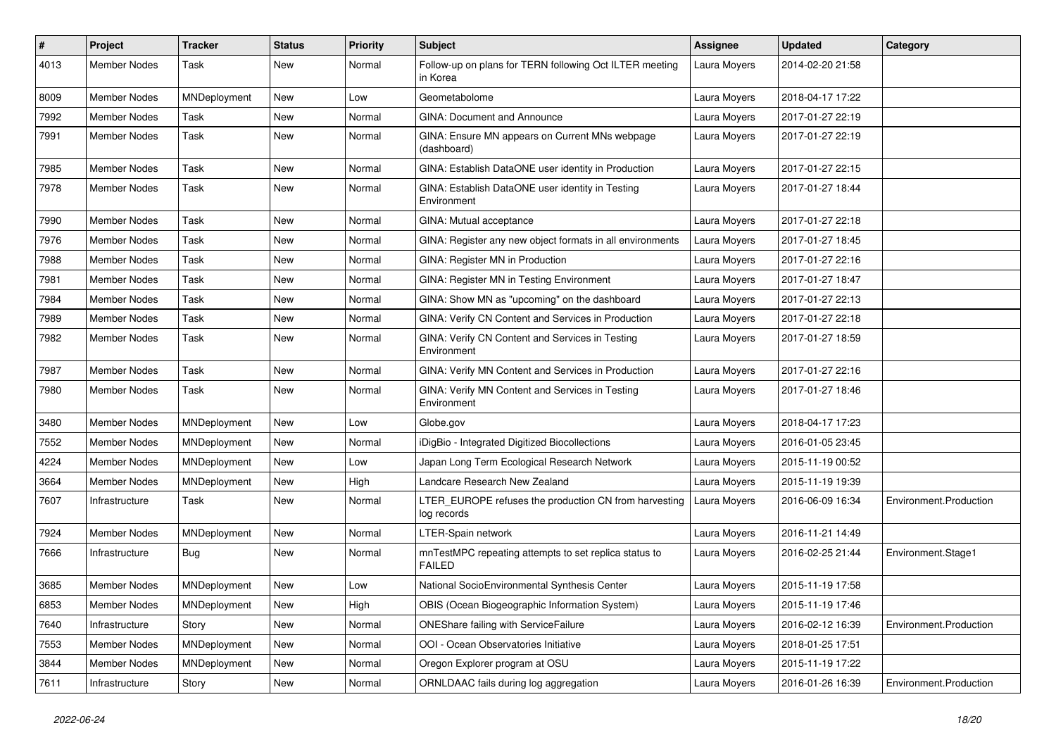| $\#$ | Project             | <b>Tracker</b> | <b>Status</b> | <b>Priority</b> | Subject                                                                | <b>Assignee</b> | <b>Updated</b>   | Category               |
|------|---------------------|----------------|---------------|-----------------|------------------------------------------------------------------------|-----------------|------------------|------------------------|
| 4013 | <b>Member Nodes</b> | Task           | New           | Normal          | Follow-up on plans for TERN following Oct ILTER meeting<br>in Korea    | Laura Moyers    | 2014-02-20 21:58 |                        |
| 8009 | <b>Member Nodes</b> | MNDeployment   | New           | Low             | Geometabolome                                                          | Laura Moyers    | 2018-04-17 17:22 |                        |
| 7992 | <b>Member Nodes</b> | Task           | New           | Normal          | <b>GINA: Document and Announce</b>                                     | Laura Moyers    | 2017-01-27 22:19 |                        |
| 7991 | Member Nodes        | Task           | New           | Normal          | GINA: Ensure MN appears on Current MNs webpage<br>(dashboard)          | Laura Moyers    | 2017-01-27 22:19 |                        |
| 7985 | <b>Member Nodes</b> | Task           | New           | Normal          | GINA: Establish DataONE user identity in Production                    | Laura Moyers    | 2017-01-27 22:15 |                        |
| 7978 | Member Nodes        | Task           | New           | Normal          | GINA: Establish DataONE user identity in Testing<br>Environment        | Laura Moyers    | 2017-01-27 18:44 |                        |
| 7990 | <b>Member Nodes</b> | Task           | New           | Normal          | GINA: Mutual acceptance                                                | Laura Moyers    | 2017-01-27 22:18 |                        |
| 7976 | <b>Member Nodes</b> | Task           | New           | Normal          | GINA: Register any new object formats in all environments              | Laura Moyers    | 2017-01-27 18:45 |                        |
| 7988 | Member Nodes        | Task           | New           | Normal          | GINA: Register MN in Production                                        | Laura Moyers    | 2017-01-27 22:16 |                        |
| 7981 | <b>Member Nodes</b> | Task           | New           | Normal          | GINA: Register MN in Testing Environment                               | Laura Moyers    | 2017-01-27 18:47 |                        |
| 7984 | Member Nodes        | Task           | <b>New</b>    | Normal          | GINA: Show MN as "upcoming" on the dashboard                           | Laura Moyers    | 2017-01-27 22:13 |                        |
| 7989 | <b>Member Nodes</b> | Task           | New           | Normal          | GINA: Verify CN Content and Services in Production                     | Laura Moyers    | 2017-01-27 22:18 |                        |
| 7982 | Member Nodes        | Task           | New           | Normal          | GINA: Verify CN Content and Services in Testing<br>Environment         | Laura Moyers    | 2017-01-27 18:59 |                        |
| 7987 | <b>Member Nodes</b> | Task           | New           | Normal          | GINA: Verify MN Content and Services in Production                     | Laura Moyers    | 2017-01-27 22:16 |                        |
| 7980 | Member Nodes        | Task           | New           | Normal          | GINA: Verify MN Content and Services in Testing<br>Environment         | Laura Moyers    | 2017-01-27 18:46 |                        |
| 3480 | <b>Member Nodes</b> | MNDeployment   | New           | Low             | Globe.gov                                                              | Laura Moyers    | 2018-04-17 17:23 |                        |
| 7552 | <b>Member Nodes</b> | MNDeployment   | New           | Normal          | iDigBio - Integrated Digitized Biocollections                          | Laura Moyers    | 2016-01-05 23:45 |                        |
| 4224 | <b>Member Nodes</b> | MNDeployment   | New           | Low             | Japan Long Term Ecological Research Network                            | Laura Moyers    | 2015-11-19 00:52 |                        |
| 3664 | Member Nodes        | MNDeployment   | New           | High            | Landcare Research New Zealand                                          | Laura Moyers    | 2015-11-19 19:39 |                        |
| 7607 | Infrastructure      | Task           | New           | Normal          | LTER_EUROPE refuses the production CN from harvesting<br>log records   | Laura Moyers    | 2016-06-09 16:34 | Environment.Production |
| 7924 | Member Nodes        | MNDeployment   | New           | Normal          | LTER-Spain network                                                     | Laura Moyers    | 2016-11-21 14:49 |                        |
| 7666 | Infrastructure      | <b>Bug</b>     | New           | Normal          | mnTestMPC repeating attempts to set replica status to<br><b>FAILED</b> | Laura Moyers    | 2016-02-25 21:44 | Environment.Stage1     |
| 3685 | Member Nodes        | MNDeployment   | New           | Low             | National SocioEnvironmental Synthesis Center                           | Laura Moyers    | 2015-11-19 17:58 |                        |
| 6853 | <b>Member Nodes</b> | MNDeployment   | New           | High            | OBIS (Ocean Biogeographic Information System)                          | Laura Moyers    | 2015-11-19 17:46 |                        |
| 7640 | Infrastructure      | Story          | New           | Normal          | <b>ONEShare failing with ServiceFailure</b>                            | Laura Moyers    | 2016-02-12 16:39 | Environment.Production |
| 7553 | Member Nodes        | MNDeployment   | New           | Normal          | OOI - Ocean Observatories Initiative                                   | Laura Moyers    | 2018-01-25 17:51 |                        |
| 3844 | Member Nodes        | MNDeployment   | New           | Normal          | Oregon Explorer program at OSU                                         | Laura Moyers    | 2015-11-19 17:22 |                        |
| 7611 | Infrastructure      | Story          | New           | Normal          | ORNLDAAC fails during log aggregation                                  | Laura Moyers    | 2016-01-26 16:39 | Environment.Production |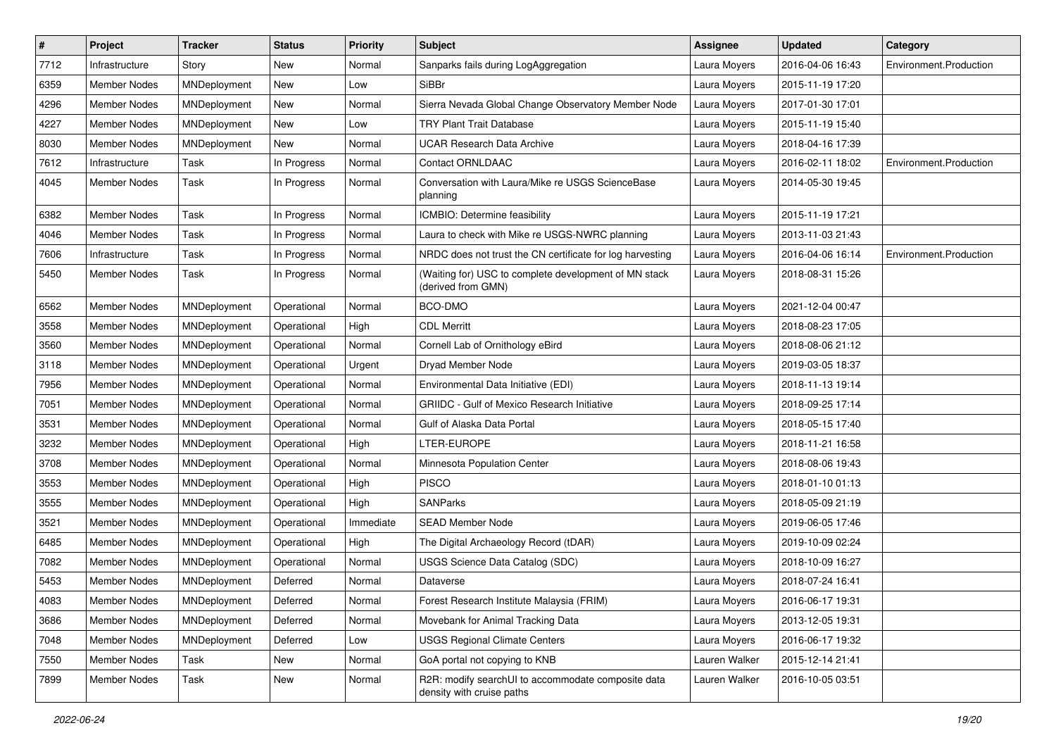| $\vert$ # | Project             | <b>Tracker</b> | <b>Status</b> | <b>Priority</b> | <b>Subject</b>                                                                  | <b>Assignee</b> | <b>Updated</b>   | Category               |
|-----------|---------------------|----------------|---------------|-----------------|---------------------------------------------------------------------------------|-----------------|------------------|------------------------|
| 7712      | Infrastructure      | Story          | New           | Normal          | Sanparks fails during LogAggregation                                            | Laura Moyers    | 2016-04-06 16:43 | Environment.Production |
| 6359      | <b>Member Nodes</b> | MNDeployment   | <b>New</b>    | Low             | SiBBr                                                                           | Laura Moyers    | 2015-11-19 17:20 |                        |
| 4296      | <b>Member Nodes</b> | MNDeployment   | <b>New</b>    | Normal          | Sierra Nevada Global Change Observatory Member Node                             | Laura Moyers    | 2017-01-30 17:01 |                        |
| 4227      | <b>Member Nodes</b> | MNDeployment   | New           | Low             | <b>TRY Plant Trait Database</b>                                                 | Laura Moyers    | 2015-11-19 15:40 |                        |
| 8030      | <b>Member Nodes</b> | MNDeployment   | <b>New</b>    | Normal          | <b>UCAR Research Data Archive</b>                                               | Laura Moyers    | 2018-04-16 17:39 |                        |
| 7612      | Infrastructure      | Task           | In Progress   | Normal          | Contact ORNLDAAC                                                                | Laura Moyers    | 2016-02-11 18:02 | Environment.Production |
| 4045      | <b>Member Nodes</b> | Task           | In Progress   | Normal          | Conversation with Laura/Mike re USGS ScienceBase<br>planning                    | Laura Moyers    | 2014-05-30 19:45 |                        |
| 6382      | <b>Member Nodes</b> | Task           | In Progress   | Normal          | ICMBIO: Determine feasibility                                                   | Laura Moyers    | 2015-11-19 17:21 |                        |
| 4046      | <b>Member Nodes</b> | Task           | In Progress   | Normal          | Laura to check with Mike re USGS-NWRC planning                                  | Laura Moyers    | 2013-11-03 21:43 |                        |
| 7606      | Infrastructure      | Task           | In Progress   | Normal          | NRDC does not trust the CN certificate for log harvesting                       | Laura Moyers    | 2016-04-06 16:14 | Environment.Production |
| 5450      | <b>Member Nodes</b> | Task           | In Progress   | Normal          | (Waiting for) USC to complete development of MN stack<br>(derived from GMN)     | Laura Moyers    | 2018-08-31 15:26 |                        |
| 6562      | <b>Member Nodes</b> | MNDeployment   | Operational   | Normal          | BCO-DMO                                                                         | Laura Moyers    | 2021-12-04 00:47 |                        |
| 3558      | <b>Member Nodes</b> | MNDeployment   | Operational   | High            | <b>CDL Merritt</b>                                                              | Laura Moyers    | 2018-08-23 17:05 |                        |
| 3560      | <b>Member Nodes</b> | MNDeployment   | Operational   | Normal          | Cornell Lab of Ornithology eBird                                                | Laura Moyers    | 2018-08-06 21:12 |                        |
| 3118      | <b>Member Nodes</b> | MNDeployment   | Operational   | Urgent          | Dryad Member Node                                                               | Laura Moyers    | 2019-03-05 18:37 |                        |
| 7956      | <b>Member Nodes</b> | MNDeployment   | Operational   | Normal          | Environmental Data Initiative (EDI)                                             | Laura Moyers    | 2018-11-13 19:14 |                        |
| 7051      | <b>Member Nodes</b> | MNDeployment   | Operational   | Normal          | <b>GRIIDC - Gulf of Mexico Research Initiative</b>                              | Laura Moyers    | 2018-09-25 17:14 |                        |
| 3531      | Member Nodes        | MNDeployment   | Operational   | Normal          | Gulf of Alaska Data Portal                                                      | Laura Moyers    | 2018-05-15 17:40 |                        |
| 3232      | <b>Member Nodes</b> | MNDeployment   | Operational   | High            | LTER-EUROPE                                                                     | Laura Moyers    | 2018-11-21 16:58 |                        |
| 3708      | <b>Member Nodes</b> | MNDeployment   | Operational   | Normal          | Minnesota Population Center                                                     | Laura Moyers    | 2018-08-06 19:43 |                        |
| 3553      | <b>Member Nodes</b> | MNDeployment   | Operational   | High            | <b>PISCO</b>                                                                    | Laura Moyers    | 2018-01-10 01:13 |                        |
| 3555      | <b>Member Nodes</b> | MNDeployment   | Operational   | High            | <b>SANParks</b>                                                                 | Laura Moyers    | 2018-05-09 21:19 |                        |
| 3521      | <b>Member Nodes</b> | MNDeployment   | Operational   | Immediate       | <b>SEAD Member Node</b>                                                         | Laura Moyers    | 2019-06-05 17:46 |                        |
| 6485      | <b>Member Nodes</b> | MNDeployment   | Operational   | High            | The Digital Archaeology Record (tDAR)                                           | Laura Moyers    | 2019-10-09 02:24 |                        |
| 7082      | <b>Member Nodes</b> | MNDeployment   | Operational   | Normal          | USGS Science Data Catalog (SDC)                                                 | Laura Moyers    | 2018-10-09 16:27 |                        |
| 5453      | <b>Member Nodes</b> | MNDeployment   | Deferred      | Normal          | Dataverse                                                                       | Laura Moyers    | 2018-07-24 16:41 |                        |
| 4083      | <b>Member Nodes</b> | MNDeployment   | Deferred      | Normal          | Forest Research Institute Malaysia (FRIM)                                       | Laura Moyers    | 2016-06-17 19:31 |                        |
| 3686      | <b>Member Nodes</b> | MNDeployment   | Deferred      | Normal          | Movebank for Animal Tracking Data                                               | Laura Moyers    | 2013-12-05 19:31 |                        |
| 7048      | Member Nodes        | MNDeployment   | Deferred      | Low             | <b>USGS Regional Climate Centers</b>                                            | Laura Moyers    | 2016-06-17 19:32 |                        |
| 7550      | Member Nodes        | Task           | New           | Normal          | GoA portal not copying to KNB                                                   | Lauren Walker   | 2015-12-14 21:41 |                        |
| 7899      | <b>Member Nodes</b> | Task           | New           | Normal          | R2R: modify searchUI to accommodate composite data<br>density with cruise paths | Lauren Walker   | 2016-10-05 03:51 |                        |